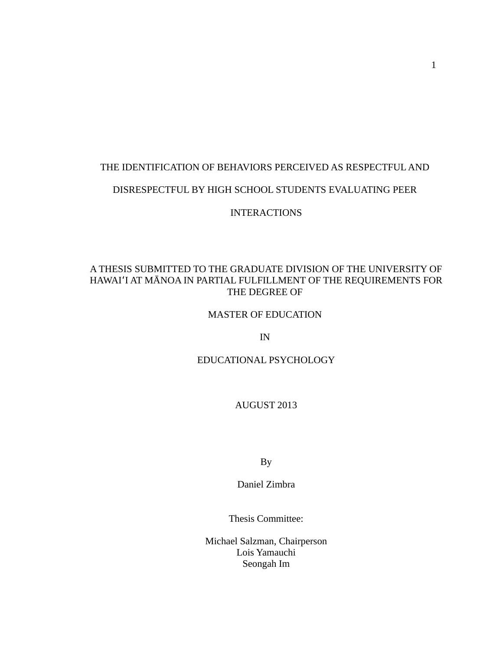# THE IDENTIFICATION OF BEHAVIORS PERCEIVED AS RESPECTFUL AND

# DISRESPECTFUL BY HIGH SCHOOL STUDENTS EVALUATING PEER

INTERACTIONS

# A THESIS SUBMITTED TO THE GRADUATE DIVISION OF THE UNIVERSITY OF HAWAIʻI AT MĀNOA IN PARTIAL FULFILLMENT OF THE REQUIREMENTS FOR THE DEGREE OF

# MASTER OF EDUCATION

IN

# EDUCATIONAL PSYCHOLOGY

AUGUST 2013

By

Daniel Zimbra

Thesis Committee:

Michael Salzman, Chairperson Lois Yamauchi Seongah Im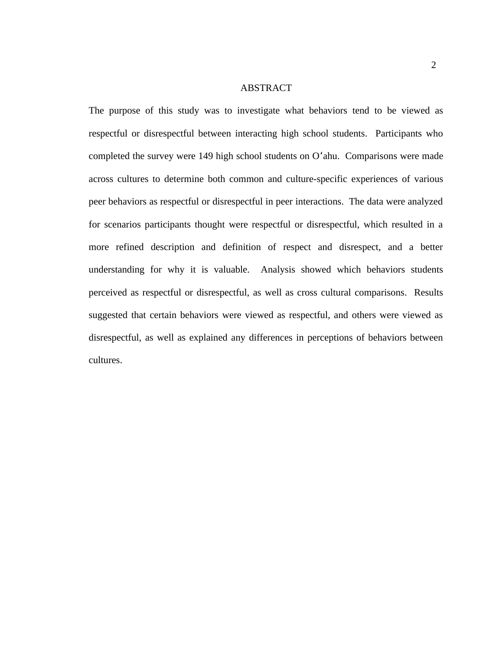### ABSTRACT

The purpose of this study was to investigate what behaviors tend to be viewed as respectful or disrespectful between interacting high school students. Participants who completed the survey were 149 high school students on Oʻahu. Comparisons were made across cultures to determine both common and culture-specific experiences of various peer behaviors as respectful or disrespectful in peer interactions. The data were analyzed for scenarios participants thought were respectful or disrespectful, which resulted in a more refined description and definition of respect and disrespect, and a better understanding for why it is valuable. Analysis showed which behaviors students perceived as respectful or disrespectful, as well as cross cultural comparisons. Results suggested that certain behaviors were viewed as respectful, and others were viewed as disrespectful, as well as explained any differences in perceptions of behaviors between cultures.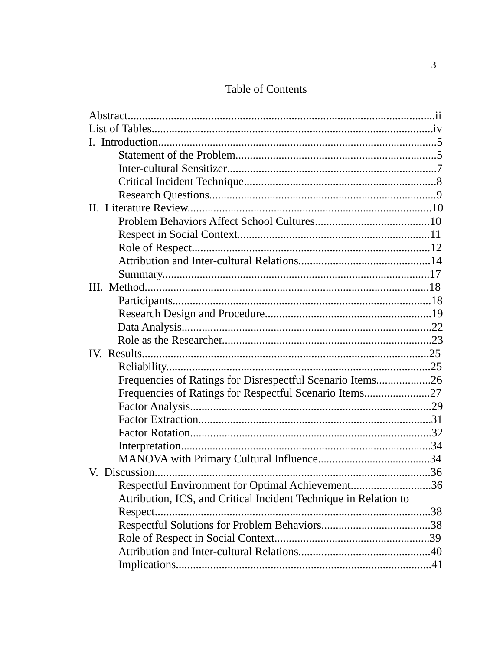# **Table of Contents**

| Frequencies of Ratings for Disrespectful Scenario Items26        |  |
|------------------------------------------------------------------|--|
| Frequencies of Ratings for Respectful Scenario Items27           |  |
|                                                                  |  |
|                                                                  |  |
|                                                                  |  |
|                                                                  |  |
|                                                                  |  |
|                                                                  |  |
| Respectful Environment for Optimal Achievement36                 |  |
| Attribution, ICS, and Critical Incident Technique in Relation to |  |
| Respect                                                          |  |
|                                                                  |  |
|                                                                  |  |
|                                                                  |  |
|                                                                  |  |
|                                                                  |  |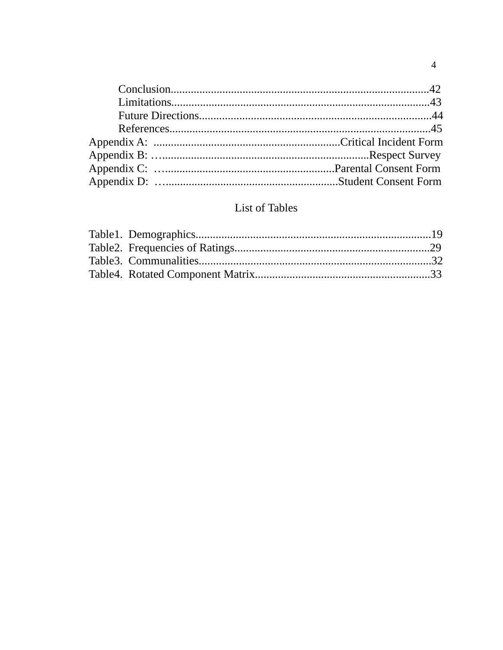# List of Tables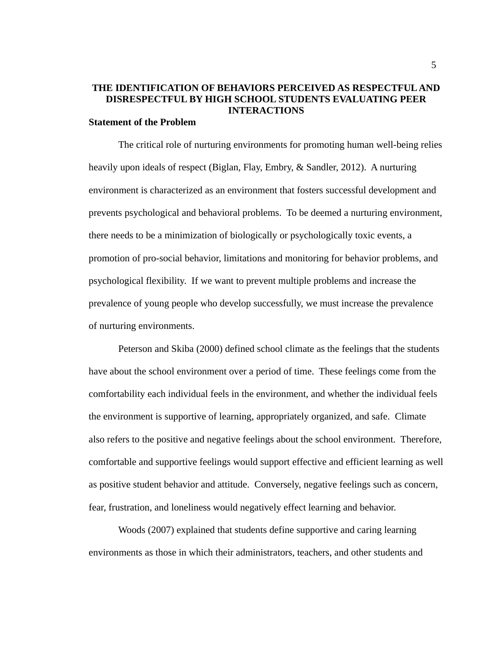# **THE IDENTIFICATION OF BEHAVIORS PERCEIVED AS RESPECTFUL AND DISRESPECTFUL BY HIGH SCHOOL STUDENTS EVALUATING PEER INTERACTIONS**

# **Statement of the Problem**

The critical role of nurturing environments for promoting human well-being relies heavily upon ideals of respect (Biglan, Flay, Embry, & Sandler, 2012). A nurturing environment is characterized as an environment that fosters successful development and prevents psychological and behavioral problems. To be deemed a nurturing environment, there needs to be a minimization of biologically or psychologically toxic events, a promotion of pro-social behavior, limitations and monitoring for behavior problems, and psychological flexibility. If we want to prevent multiple problems and increase the prevalence of young people who develop successfully, we must increase the prevalence of nurturing environments.

Peterson and Skiba (2000) defined school climate as the feelings that the students have about the school environment over a period of time. These feelings come from the comfortability each individual feels in the environment, and whether the individual feels the environment is supportive of learning, appropriately organized, and safe. Climate also refers to the positive and negative feelings about the school environment. Therefore, comfortable and supportive feelings would support effective and efficient learning as well as positive student behavior and attitude. Conversely, negative feelings such as concern, fear, frustration, and loneliness would negatively effect learning and behavior.

Woods (2007) explained that students define supportive and caring learning environments as those in which their administrators, teachers, and other students and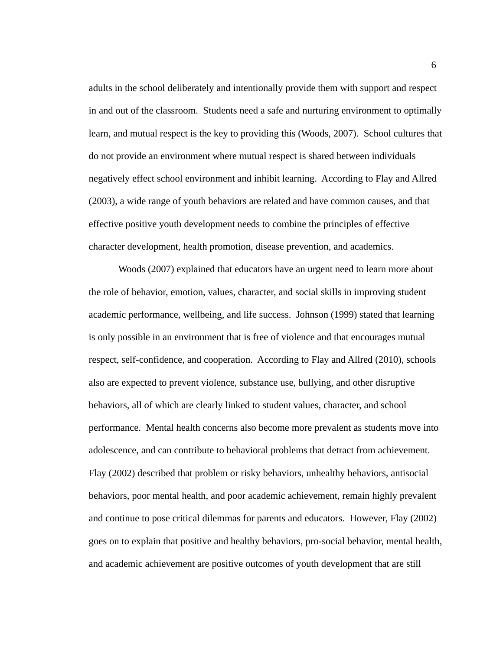adults in the school deliberately and intentionally provide them with support and respect in and out of the classroom. Students need a safe and nurturing environment to optimally learn, and mutual respect is the key to providing this (Woods, 2007). School cultures that do not provide an environment where mutual respect is shared between individuals negatively effect school environment and inhibit learning. According to Flay and Allred (2003), a wide range of youth behaviors are related and have common causes, and that effective positive youth development needs to combine the principles of effective character development, health promotion, disease prevention, and academics.

Woods (2007) explained that educators have an urgent need to learn more about the role of behavior, emotion, values, character, and social skills in improving student academic performance, wellbeing, and life success. Johnson (1999) stated that learning is only possible in an environment that is free of violence and that encourages mutual respect, self-confidence, and cooperation. According to Flay and Allred (2010), schools also are expected to prevent violence, substance use, bullying, and other disruptive behaviors, all of which are clearly linked to student values, character, and school performance. Mental health concerns also become more prevalent as students move into adolescence, and can contribute to behavioral problems that detract from achievement. Flay (2002) described that problem or risky behaviors, unhealthy behaviors, antisocial behaviors, poor mental health, and poor academic achievement, remain highly prevalent and continue to pose critical dilemmas for parents and educators. However, Flay (2002) goes on to explain that positive and healthy behaviors, pro-social behavior, mental health, and academic achievement are positive outcomes of youth development that are still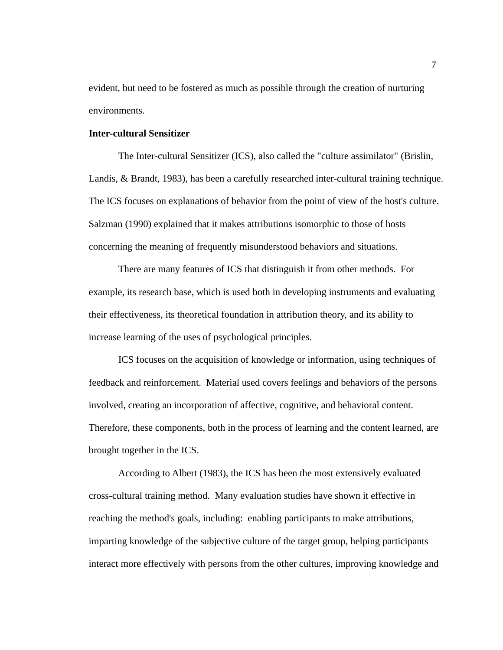evident, but need to be fostered as much as possible through the creation of nurturing environments.

## **Inter-cultural Sensitizer**

The Inter-cultural Sensitizer (ICS), also called the "culture assimilator" (Brislin, Landis, & Brandt, 1983), has been a carefully researched inter-cultural training technique. The ICS focuses on explanations of behavior from the point of view of the host's culture. Salzman (1990) explained that it makes attributions isomorphic to those of hosts concerning the meaning of frequently misunderstood behaviors and situations.

There are many features of ICS that distinguish it from other methods. For example, its research base, which is used both in developing instruments and evaluating their effectiveness, its theoretical foundation in attribution theory, and its ability to increase learning of the uses of psychological principles.

ICS focuses on the acquisition of knowledge or information, using techniques of feedback and reinforcement. Material used covers feelings and behaviors of the persons involved, creating an incorporation of affective, cognitive, and behavioral content. Therefore, these components, both in the process of learning and the content learned, are brought together in the ICS.

According to Albert (1983), the ICS has been the most extensively evaluated cross-cultural training method. Many evaluation studies have shown it effective in reaching the method's goals, including: enabling participants to make attributions, imparting knowledge of the subjective culture of the target group, helping participants interact more effectively with persons from the other cultures, improving knowledge and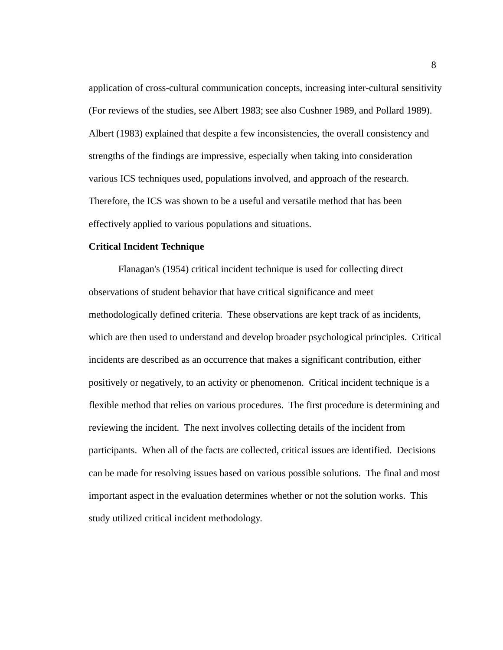application of cross-cultural communication concepts, increasing inter-cultural sensitivity (For reviews of the studies, see Albert 1983; see also Cushner 1989, and Pollard 1989). Albert (1983) explained that despite a few inconsistencies, the overall consistency and strengths of the findings are impressive, especially when taking into consideration various ICS techniques used, populations involved, and approach of the research. Therefore, the ICS was shown to be a useful and versatile method that has been effectively applied to various populations and situations.

#### **Critical Incident Technique**

Flanagan's (1954) critical incident technique is used for collecting direct observations of student behavior that have critical significance and meet methodologically defined criteria. These observations are kept track of as incidents, which are then used to understand and develop broader psychological principles. Critical incidents are described as an occurrence that makes a significant contribution, either positively or negatively, to an activity or phenomenon. Critical incident technique is a flexible method that relies on various procedures. The first procedure is determining and reviewing the incident. The next involves collecting details of the incident from participants. When all of the facts are collected, critical issues are identified. Decisions can be made for resolving issues based on various possible solutions. The final and most important aspect in the evaluation determines whether or not the solution works. This study utilized critical incident methodology.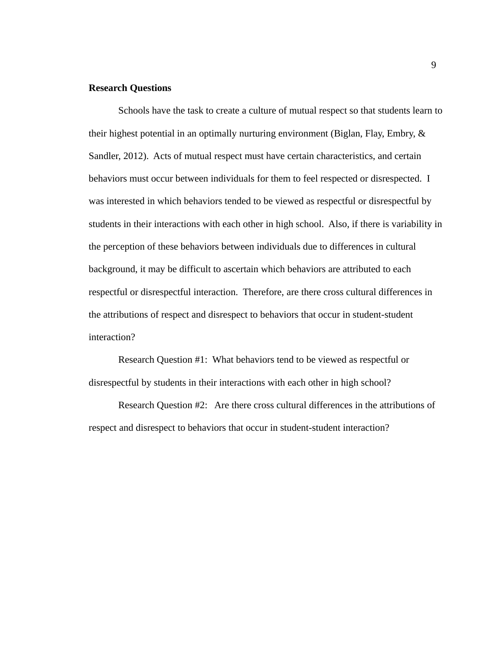### **Research Questions**

Schools have the task to create a culture of mutual respect so that students learn to their highest potential in an optimally nurturing environment (Biglan, Flay, Embry, & Sandler, 2012). Acts of mutual respect must have certain characteristics, and certain behaviors must occur between individuals for them to feel respected or disrespected. I was interested in which behaviors tended to be viewed as respectful or disrespectful by students in their interactions with each other in high school. Also, if there is variability in the perception of these behaviors between individuals due to differences in cultural background, it may be difficult to ascertain which behaviors are attributed to each respectful or disrespectful interaction. Therefore, are there cross cultural differences in the attributions of respect and disrespect to behaviors that occur in student-student interaction?

Research Question #1: What behaviors tend to be viewed as respectful or disrespectful by students in their interactions with each other in high school?

Research Question #2: Are there cross cultural differences in the attributions of respect and disrespect to behaviors that occur in student-student interaction?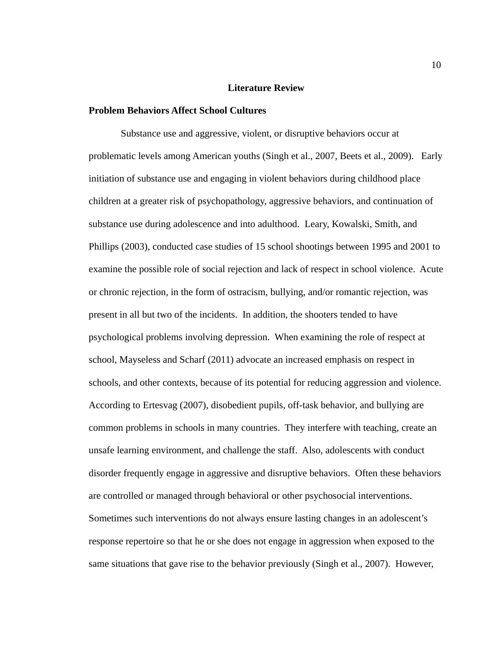#### **Literature Review**

#### **Problem Behaviors Affect School Cultures**

 Substance use and aggressive, violent, or disruptive behaviors occur at problematic levels among American youths (Singh et al., 2007, Beets et al., 2009). Early initiation of substance use and engaging in violent behaviors during childhood place children at a greater risk of psychopathology, aggressive behaviors, and continuation of substance use during adolescence and into adulthood. Leary, Kowalski, Smith, and Phillips (2003), conducted case studies of 15 school shootings between 1995 and 2001 to examine the possible role of social rejection and lack of respect in school violence. Acute or chronic rejection, in the form of ostracism, bullying, and/or romantic rejection, was present in all but two of the incidents. In addition, the shooters tended to have psychological problems involving depression. When examining the role of respect at school, Mayseless and Scharf (2011) advocate an increased emphasis on respect in schools, and other contexts, because of its potential for reducing aggression and violence. According to Ertesvag (2007), disobedient pupils, off-task behavior, and bullying are common problems in schools in many countries. They interfere with teaching, create an unsafe learning environment, and challenge the staff. Also, adolescents with conduct disorder frequently engage in aggressive and disruptive behaviors. Often these behaviors are controlled or managed through behavioral or other psychosocial interventions. Sometimes such interventions do not always ensure lasting changes in an adolescent's response repertoire so that he or she does not engage in aggression when exposed to the same situations that gave rise to the behavior previously (Singh et al., 2007). However,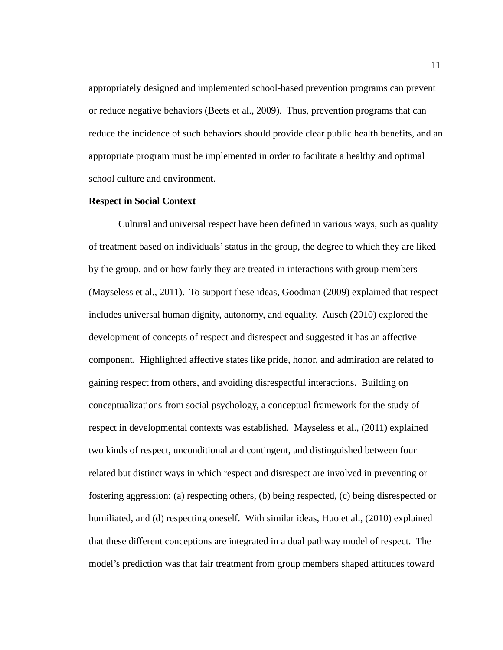appropriately designed and implemented school-based prevention programs can prevent or reduce negative behaviors (Beets et al., 2009). Thus, prevention programs that can reduce the incidence of such behaviors should provide clear public health benefits, and an appropriate program must be implemented in order to facilitate a healthy and optimal school culture and environment.

#### **Respect in Social Context**

Cultural and universal respect have been defined in various ways, such as quality of treatment based on individuals' status in the group, the degree to which they are liked by the group, and or how fairly they are treated in interactions with group members (Mayseless et al., 2011). To support these ideas, Goodman (2009) explained that respect includes universal human dignity, autonomy, and equality. Ausch (2010) explored the development of concepts of respect and disrespect and suggested it has an affective component. Highlighted affective states like pride, honor, and admiration are related to gaining respect from others, and avoiding disrespectful interactions. Building on conceptualizations from social psychology, a conceptual framework for the study of respect in developmental contexts was established. Mayseless et al., (2011) explained two kinds of respect, unconditional and contingent, and distinguished between four related but distinct ways in which respect and disrespect are involved in preventing or fostering aggression: (a) respecting others, (b) being respected, (c) being disrespected or humiliated, and (d) respecting oneself. With similar ideas, Huo et al., (2010) explained that these different conceptions are integrated in a dual pathway model of respect. The model's prediction was that fair treatment from group members shaped attitudes toward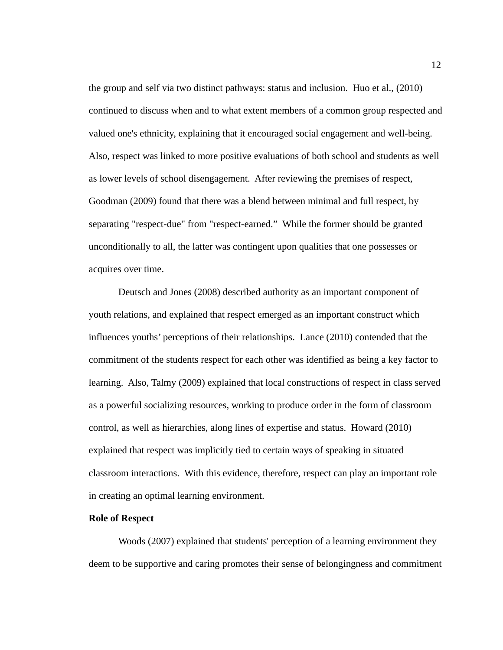the group and self via two distinct pathways: status and inclusion. Huo et al., (2010) continued to discuss when and to what extent members of a common group respected and valued one's ethnicity, explaining that it encouraged social engagement and well-being. Also, respect was linked to more positive evaluations of both school and students as well as lower levels of school disengagement. After reviewing the premises of respect, Goodman (2009) found that there was a blend between minimal and full respect, by separating "respect-due" from "respect-earned." While the former should be granted unconditionally to all, the latter was contingent upon qualities that one possesses or acquires over time.

Deutsch and Jones (2008) described authority as an important component of youth relations, and explained that respect emerged as an important construct which influences youths' perceptions of their relationships. Lance (2010) contended that the commitment of the students respect for each other was identified as being a key factor to learning. Also, Talmy (2009) explained that local constructions of respect in class served as a powerful socializing resources, working to produce order in the form of classroom control, as well as hierarchies, along lines of expertise and status. Howard (2010) explained that respect was implicitly tied to certain ways of speaking in situated classroom interactions. With this evidence, therefore, respect can play an important role in creating an optimal learning environment.

#### **Role of Respect**

Woods (2007) explained that students' perception of a learning environment they deem to be supportive and caring promotes their sense of belongingness and commitment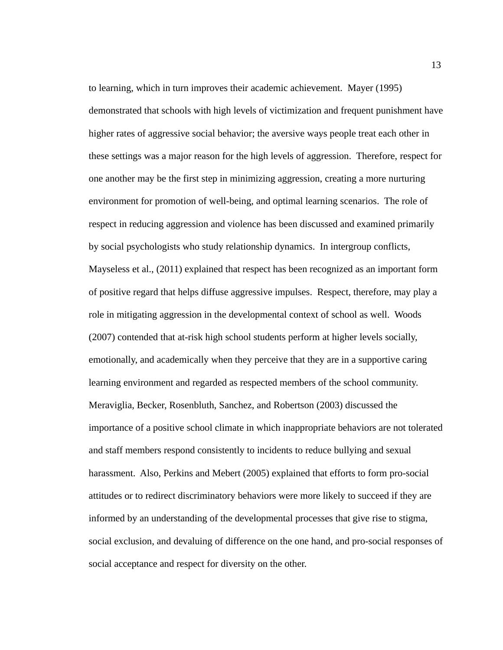to learning, which in turn improves their academic achievement. Mayer (1995) demonstrated that schools with high levels of victimization and frequent punishment have higher rates of aggressive social behavior; the aversive ways people treat each other in these settings was a major reason for the high levels of aggression. Therefore, respect for one another may be the first step in minimizing aggression, creating a more nurturing environment for promotion of well-being, and optimal learning scenarios. The role of respect in reducing aggression and violence has been discussed and examined primarily by social psychologists who study relationship dynamics. In intergroup conflicts, Mayseless et al., (2011) explained that respect has been recognized as an important form of positive regard that helps diffuse aggressive impulses. Respect, therefore, may play a role in mitigating aggression in the developmental context of school as well. Woods (2007) contended that at-risk high school students perform at higher levels socially, emotionally, and academically when they perceive that they are in a supportive caring learning environment and regarded as respected members of the school community. Meraviglia, Becker, Rosenbluth, Sanchez, and Robertson (2003) discussed the importance of a positive school climate in which inappropriate behaviors are not tolerated and staff members respond consistently to incidents to reduce bullying and sexual harassment. Also, Perkins and Mebert (2005) explained that efforts to form pro-social attitudes or to redirect discriminatory behaviors were more likely to succeed if they are informed by an understanding of the developmental processes that give rise to stigma, social exclusion, and devaluing of difference on the one hand, and pro-social responses of social acceptance and respect for diversity on the other.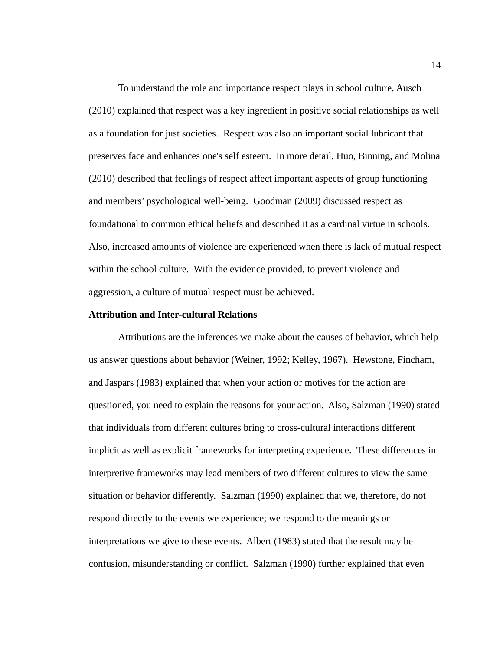To understand the role and importance respect plays in school culture, Ausch (2010) explained that respect was a key ingredient in positive social relationships as well as a foundation for just societies. Respect was also an important social lubricant that preserves face and enhances one's self esteem. In more detail, Huo, Binning, and Molina (2010) described that feelings of respect affect important aspects of group functioning and members' psychological well-being. Goodman (2009) discussed respect as foundational to common ethical beliefs and described it as a cardinal virtue in schools. Also, increased amounts of violence are experienced when there is lack of mutual respect within the school culture. With the evidence provided, to prevent violence and aggression, a culture of mutual respect must be achieved.

#### **Attribution and Inter-cultural Relations**

Attributions are the inferences we make about the causes of behavior, which help us answer questions about behavior (Weiner, 1992; Kelley, 1967). Hewstone, Fincham, and Jaspars (1983) explained that when your action or motives for the action are questioned, you need to explain the reasons for your action. Also, Salzman (1990) stated that individuals from different cultures bring to cross-cultural interactions different implicit as well as explicit frameworks for interpreting experience. These differences in interpretive frameworks may lead members of two different cultures to view the same situation or behavior differently. Salzman (1990) explained that we, therefore, do not respond directly to the events we experience; we respond to the meanings or interpretations we give to these events. Albert (1983) stated that the result may be confusion, misunderstanding or conflict. Salzman (1990) further explained that even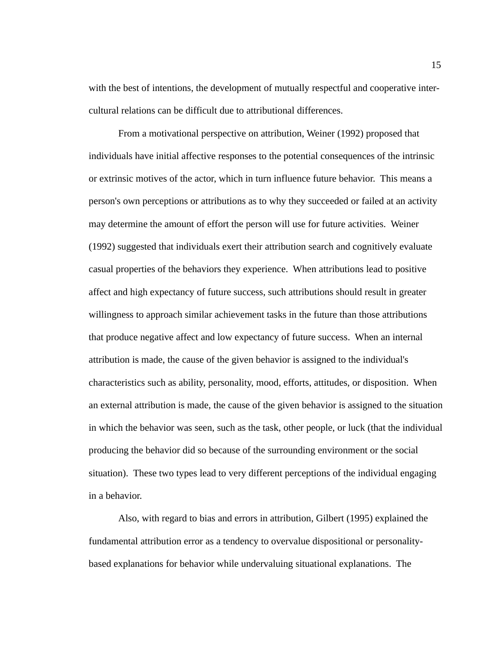with the best of intentions, the development of mutually respectful and cooperative intercultural relations can be difficult due to attributional differences.

From a motivational perspective on attribution, Weiner (1992) proposed that individuals have initial affective responses to the potential consequences of the intrinsic or extrinsic motives of the actor, which in turn influence future behavior. This means a person's own perceptions or attributions as to why they succeeded or failed at an activity may determine the amount of effort the person will use for future activities. Weiner (1992) suggested that individuals exert their attribution search and cognitively evaluate casual properties of the behaviors they experience. When attributions lead to positive affect and high expectancy of future success, such attributions should result in greater willingness to approach similar achievement tasks in the future than those attributions that produce negative affect and low expectancy of future success. When an internal attribution is made, the cause of the given behavior is assigned to the individual's characteristics such as ability, personality, mood, efforts, attitudes, or disposition. When an external attribution is made, the cause of the given behavior is assigned to the situation in which the behavior was seen, such as the task, other people, or luck (that the individual producing the behavior did so because of the surrounding environment or the social situation). These two types lead to very different perceptions of the individual engaging in a behavior.

Also, with regard to bias and errors in attribution, Gilbert (1995) explained the fundamental attribution error as a tendency to overvalue dispositional or personalitybased explanations for behavior while undervaluing situational explanations. The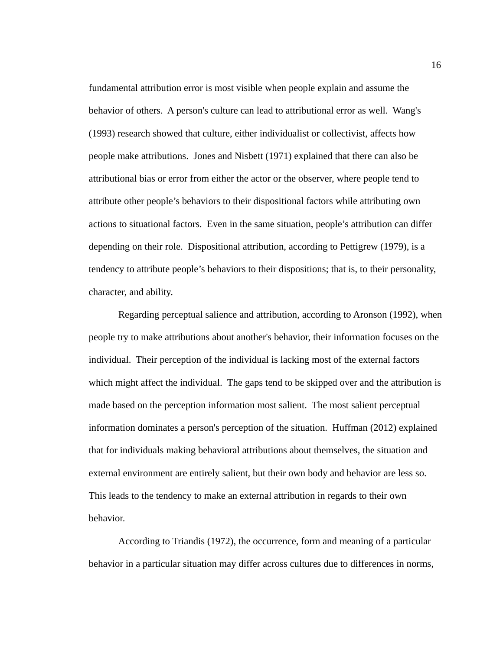fundamental attribution error is most visible when people explain and assume the behavior of others. A person's culture can lead to attributional error as well. Wang's (1993) research showed that culture, either individualist or collectivist, affects how people make attributions. Jones and Nisbett (1971) explained that there can also be attributional bias or error from either the actor or the observer, where people tend to attribute other people's behaviors to their dispositional factors while attributing own actions to situational factors. Even in the same situation, people's attribution can differ depending on their role. Dispositional attribution, according to Pettigrew (1979), is a tendency to attribute people's behaviors to their dispositions; that is, to their personality, character, and ability.

Regarding perceptual salience and attribution, according to Aronson (1992), when people try to make attributions about another's behavior, their information focuses on the individual. Their perception of the individual is lacking most of the external factors which might affect the individual. The gaps tend to be skipped over and the attribution is made based on the perception information most salient. The most salient perceptual information dominates a person's perception of the situation. Huffman (2012) explained that for individuals making behavioral attributions about themselves, the situation and external environment are entirely salient, but their own body and behavior are less so. This leads to the tendency to make an external attribution in regards to their own behavior.

According to Triandis (1972), the occurrence, form and meaning of a particular behavior in a particular situation may differ across cultures due to differences in norms,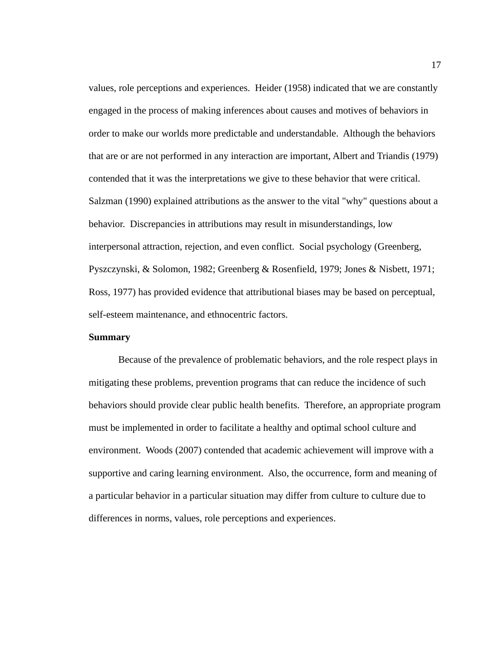values, role perceptions and experiences. Heider (1958) indicated that we are constantly engaged in the process of making inferences about causes and motives of behaviors in order to make our worlds more predictable and understandable. Although the behaviors that are or are not performed in any interaction are important, Albert and Triandis (1979) contended that it was the interpretations we give to these behavior that were critical. Salzman (1990) explained attributions as the answer to the vital "why" questions about a behavior. Discrepancies in attributions may result in misunderstandings, low interpersonal attraction, rejection, and even conflict. Social psychology (Greenberg, Pyszczynski, & Solomon, 1982; Greenberg & Rosenfield, 1979; Jones & Nisbett, 1971; Ross, 1977) has provided evidence that attributional biases may be based on perceptual, self-esteem maintenance, and ethnocentric factors.

## **Summary**

Because of the prevalence of problematic behaviors, and the role respect plays in mitigating these problems, prevention programs that can reduce the incidence of such behaviors should provide clear public health benefits. Therefore, an appropriate program must be implemented in order to facilitate a healthy and optimal school culture and environment. Woods (2007) contended that academic achievement will improve with a supportive and caring learning environment. Also, the occurrence, form and meaning of a particular behavior in a particular situation may differ from culture to culture due to differences in norms, values, role perceptions and experiences.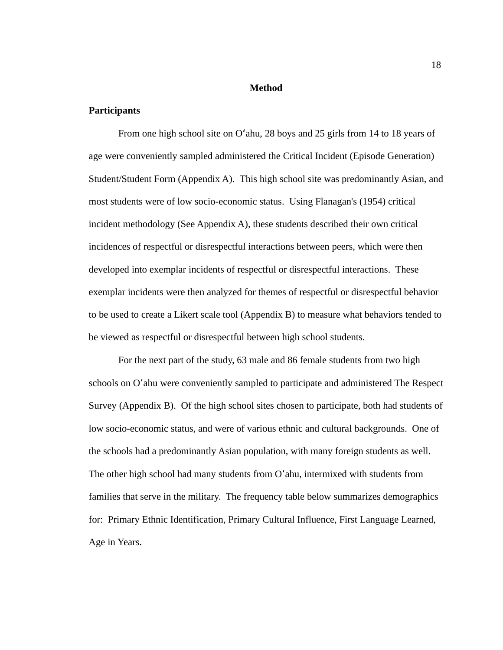#### **Method**

## **Participants**

From one high school site on Oʻahu, 28 boys and 25 girls from 14 to 18 years of age were conveniently sampled administered the Critical Incident (Episode Generation) Student/Student Form (Appendix A). This high school site was predominantly Asian, and most students were of low socio-economic status. Using Flanagan's (1954) critical incident methodology (See Appendix A), these students described their own critical incidences of respectful or disrespectful interactions between peers, which were then developed into exemplar incidents of respectful or disrespectful interactions. These exemplar incidents were then analyzed for themes of respectful or disrespectful behavior to be used to create a Likert scale tool (Appendix B) to measure what behaviors tended to be viewed as respectful or disrespectful between high school students.

For the next part of the study, 63 male and 86 female students from two high schools on Oʻahu were conveniently sampled to participate and administered The Respect Survey (Appendix B). Of the high school sites chosen to participate, both had students of low socio-economic status, and were of various ethnic and cultural backgrounds. One of the schools had a predominantly Asian population, with many foreign students as well. The other high school had many students from Oʻahu, intermixed with students from families that serve in the military. The frequency table below summarizes demographics for: Primary Ethnic Identification, Primary Cultural Influence, First Language Learned, Age in Years.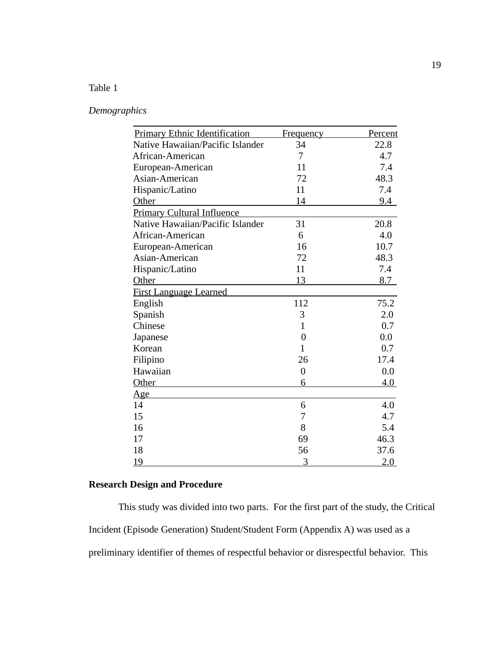# Table 1

# *Demographics*

| <b>Primary Ethnic Identification</b> | <u>Frequency</u> | <u>Percent</u> |
|--------------------------------------|------------------|----------------|
| Native Hawaiian/Pacific Islander     | 34               | 22.8           |
| African-American                     | 7                | 4.7            |
| European-American                    | 11               | 7.4            |
| Asian-American                       | 72               | 48.3           |
| Hispanic/Latino                      | 11               | 7.4            |
| Other                                | 14               | 9.4            |
| <b>Primary Cultural Influence</b>    |                  |                |
| Native Hawaiian/Pacific Islander     | 31               | 20.8           |
| African-American                     | 6                | 4.0            |
| European-American                    | 16               | 10.7           |
| Asian-American                       | 72               | 48.3           |
| Hispanic/Latino                      | 11               | 7.4            |
| Other                                | 13               | 8.7            |
| <b>First Language Learned</b>        |                  |                |
| English                              | 112              | 75.2           |
| Spanish                              | 3                | 2.0            |
| Chinese                              | $\mathbf{1}$     | 0.7            |
| Japanese                             | $\overline{0}$   | $0.0\,$        |
| Korean                               | $\mathbf{1}$     | 0.7            |
| Filipino                             | 26               | 17.4           |
| Hawaiian                             | $\boldsymbol{0}$ | 0.0            |
| Other                                | 6                | 4.0            |
| <u>Age</u>                           |                  |                |
| 14                                   | 6                | 4.0            |
| 15                                   | 7                | 4.7            |
| 16                                   | 8                | 5.4            |
| 17                                   | 69               | 46.3           |
| 18                                   | 56               | 37.6           |
| <u>19</u>                            | 3                | 2.0            |

# **Research Design and Procedure**

This study was divided into two parts. For the first part of the study, the Critical Incident (Episode Generation) Student/Student Form (Appendix A) was used as a preliminary identifier of themes of respectful behavior or disrespectful behavior. This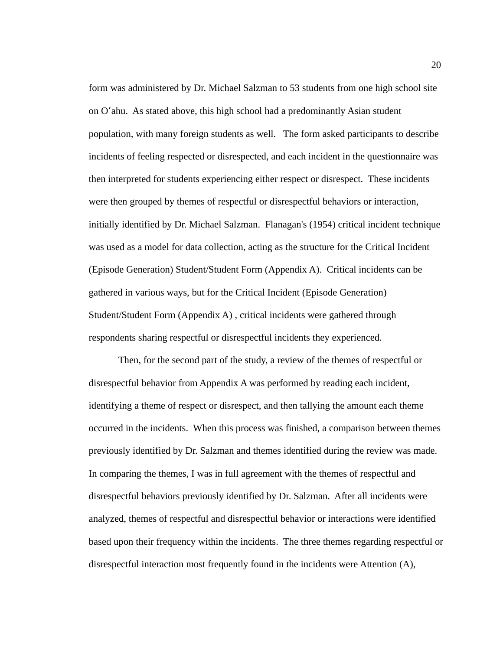form was administered by Dr. Michael Salzman to 53 students from one high school site on Oʻahu. As stated above, this high school had a predominantly Asian student population, with many foreign students as well. The form asked participants to describe incidents of feeling respected or disrespected, and each incident in the questionnaire was then interpreted for students experiencing either respect or disrespect. These incidents were then grouped by themes of respectful or disrespectful behaviors or interaction, initially identified by Dr. Michael Salzman. Flanagan's (1954) critical incident technique was used as a model for data collection, acting as the structure for the Critical Incident (Episode Generation) Student/Student Form (Appendix A). Critical incidents can be gathered in various ways, but for the Critical Incident (Episode Generation) Student/Student Form (Appendix A) , critical incidents were gathered through respondents sharing respectful or disrespectful incidents they experienced.

Then, for the second part of the study, a review of the themes of respectful or disrespectful behavior from Appendix A was performed by reading each incident, identifying a theme of respect or disrespect, and then tallying the amount each theme occurred in the incidents. When this process was finished, a comparison between themes previously identified by Dr. Salzman and themes identified during the review was made. In comparing the themes, I was in full agreement with the themes of respectful and disrespectful behaviors previously identified by Dr. Salzman. After all incidents were analyzed, themes of respectful and disrespectful behavior or interactions were identified based upon their frequency within the incidents. The three themes regarding respectful or disrespectful interaction most frequently found in the incidents were Attention (A),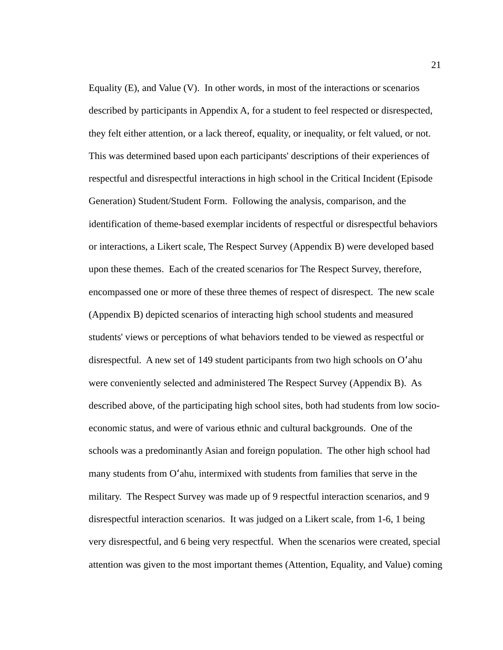Equality  $(E)$ , and Value  $(V)$ . In other words, in most of the interactions or scenarios described by participants in Appendix A, for a student to feel respected or disrespected, they felt either attention, or a lack thereof, equality, or inequality, or felt valued, or not. This was determined based upon each participants' descriptions of their experiences of respectful and disrespectful interactions in high school in the Critical Incident (Episode Generation) Student/Student Form. Following the analysis, comparison, and the identification of theme-based exemplar incidents of respectful or disrespectful behaviors or interactions, a Likert scale, The Respect Survey (Appendix B) were developed based upon these themes. Each of the created scenarios for The Respect Survey, therefore, encompassed one or more of these three themes of respect of disrespect. The new scale (Appendix B) depicted scenarios of interacting high school students and measured students' views or perceptions of what behaviors tended to be viewed as respectful or disrespectful. A new set of 149 student participants from two high schools on Oʻahu were conveniently selected and administered The Respect Survey (Appendix B). As described above, of the participating high school sites, both had students from low socioeconomic status, and were of various ethnic and cultural backgrounds. One of the schools was a predominantly Asian and foreign population. The other high school had many students from Oʻahu, intermixed with students from families that serve in the military. The Respect Survey was made up of 9 respectful interaction scenarios, and 9 disrespectful interaction scenarios. It was judged on a Likert scale, from 1-6, 1 being very disrespectful, and 6 being very respectful. When the scenarios were created, special attention was given to the most important themes (Attention, Equality, and Value) coming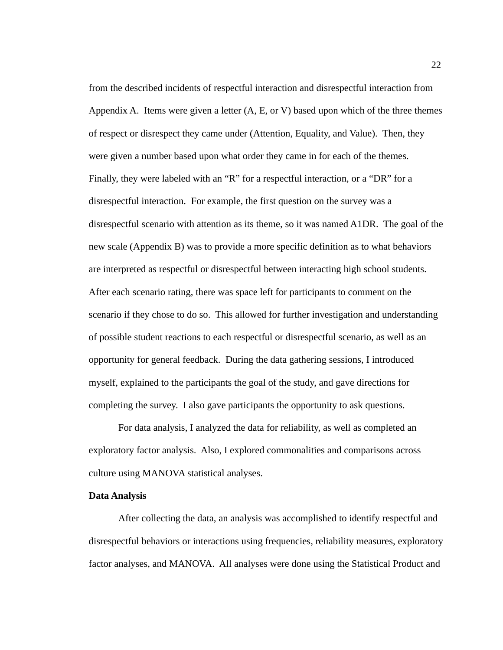from the described incidents of respectful interaction and disrespectful interaction from Appendix A. Items were given a letter  $(A, E, \text{or } V)$  based upon which of the three themes of respect or disrespect they came under (Attention, Equality, and Value). Then, they were given a number based upon what order they came in for each of the themes. Finally, they were labeled with an "R" for a respectful interaction, or a "DR" for a disrespectful interaction. For example, the first question on the survey was a disrespectful scenario with attention as its theme, so it was named A1DR. The goal of the new scale (Appendix B) was to provide a more specific definition as to what behaviors are interpreted as respectful or disrespectful between interacting high school students. After each scenario rating, there was space left for participants to comment on the scenario if they chose to do so. This allowed for further investigation and understanding of possible student reactions to each respectful or disrespectful scenario, as well as an opportunity for general feedback. During the data gathering sessions, I introduced myself, explained to the participants the goal of the study, and gave directions for completing the survey. I also gave participants the opportunity to ask questions.

For data analysis, I analyzed the data for reliability, as well as completed an exploratory factor analysis. Also, I explored commonalities and comparisons across culture using MANOVA statistical analyses.

# **Data Analysis**

After collecting the data, an analysis was accomplished to identify respectful and disrespectful behaviors or interactions using frequencies, reliability measures, exploratory factor analyses, and MANOVA. All analyses were done using the Statistical Product and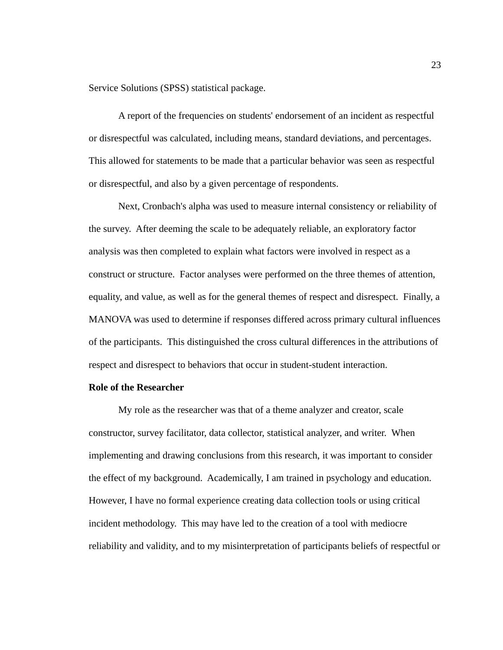Service Solutions (SPSS) statistical package.

A report of the frequencies on students' endorsement of an incident as respectful or disrespectful was calculated, including means, standard deviations, and percentages. This allowed for statements to be made that a particular behavior was seen as respectful or disrespectful, and also by a given percentage of respondents.

Next, Cronbach's alpha was used to measure internal consistency or reliability of the survey. After deeming the scale to be adequately reliable, an exploratory factor analysis was then completed to explain what factors were involved in respect as a construct or structure. Factor analyses were performed on the three themes of attention, equality, and value, as well as for the general themes of respect and disrespect. Finally, a MANOVA was used to determine if responses differed across primary cultural influences of the participants. This distinguished the cross cultural differences in the attributions of respect and disrespect to behaviors that occur in student-student interaction.

## **Role of the Researcher**

My role as the researcher was that of a theme analyzer and creator, scale constructor, survey facilitator, data collector, statistical analyzer, and writer. When implementing and drawing conclusions from this research, it was important to consider the effect of my background. Academically, I am trained in psychology and education. However, I have no formal experience creating data collection tools or using critical incident methodology. This may have led to the creation of a tool with mediocre reliability and validity, and to my misinterpretation of participants beliefs of respectful or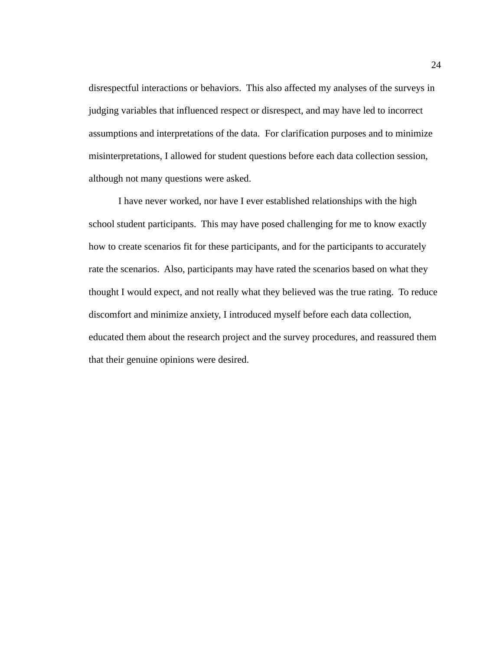disrespectful interactions or behaviors. This also affected my analyses of the surveys in judging variables that influenced respect or disrespect, and may have led to incorrect assumptions and interpretations of the data. For clarification purposes and to minimize misinterpretations, I allowed for student questions before each data collection session, although not many questions were asked.

I have never worked, nor have I ever established relationships with the high school student participants. This may have posed challenging for me to know exactly how to create scenarios fit for these participants, and for the participants to accurately rate the scenarios. Also, participants may have rated the scenarios based on what they thought I would expect, and not really what they believed was the true rating. To reduce discomfort and minimize anxiety, I introduced myself before each data collection, educated them about the research project and the survey procedures, and reassured them that their genuine opinions were desired.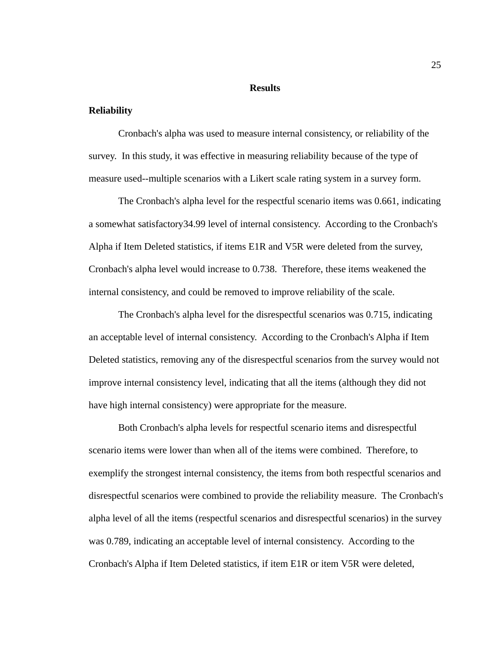#### **Results**

### **Reliability**

Cronbach's alpha was used to measure internal consistency, or reliability of the survey. In this study, it was effective in measuring reliability because of the type of measure used--multiple scenarios with a Likert scale rating system in a survey form.

The Cronbach's alpha level for the respectful scenario items was 0.661, indicating a somewhat satisfactory34.99 level of internal consistency. According to the Cronbach's Alpha if Item Deleted statistics, if items E1R and V5R were deleted from the survey, Cronbach's alpha level would increase to 0.738. Therefore, these items weakened the internal consistency, and could be removed to improve reliability of the scale.

The Cronbach's alpha level for the disrespectful scenarios was 0.715, indicating an acceptable level of internal consistency. According to the Cronbach's Alpha if Item Deleted statistics, removing any of the disrespectful scenarios from the survey would not improve internal consistency level, indicating that all the items (although they did not have high internal consistency) were appropriate for the measure.

Both Cronbach's alpha levels for respectful scenario items and disrespectful scenario items were lower than when all of the items were combined. Therefore, to exemplify the strongest internal consistency, the items from both respectful scenarios and disrespectful scenarios were combined to provide the reliability measure. The Cronbach's alpha level of all the items (respectful scenarios and disrespectful scenarios) in the survey was 0.789, indicating an acceptable level of internal consistency. According to the Cronbach's Alpha if Item Deleted statistics, if item E1R or item V5R were deleted,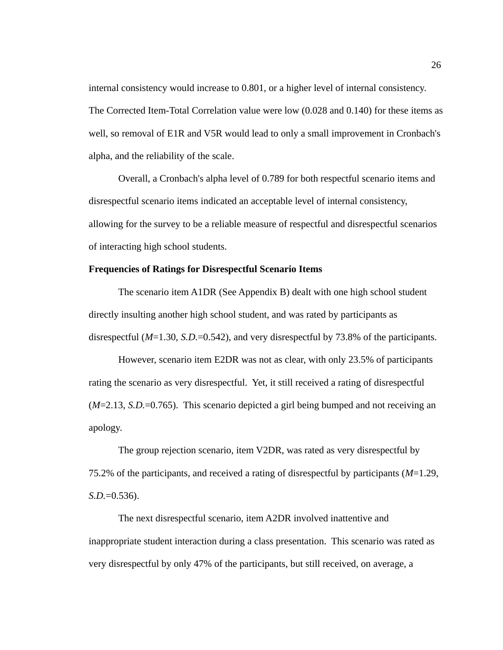internal consistency would increase to 0.801, or a higher level of internal consistency. The Corrected Item-Total Correlation value were low (0.028 and 0.140) for these items as well, so removal of E1R and V5R would lead to only a small improvement in Cronbach's alpha, and the reliability of the scale.

Overall, a Cronbach's alpha level of 0.789 for both respectful scenario items and disrespectful scenario items indicated an acceptable level of internal consistency, allowing for the survey to be a reliable measure of respectful and disrespectful scenarios of interacting high school students.

## **Frequencies of Ratings for Disrespectful Scenario Items**

The scenario item A1DR (See Appendix B) dealt with one high school student directly insulting another high school student, and was rated by participants as disrespectful (*M*=1.30, *S.D.*=0.542), and very disrespectful by 73.8% of the participants.

However, scenario item E2DR was not as clear, with only 23.5% of participants rating the scenario as very disrespectful. Yet, it still received a rating of disrespectful (*M*=2.13, *S.D.*=0.765). This scenario depicted a girl being bumped and not receiving an apology.

The group rejection scenario, item V2DR, was rated as very disrespectful by 75.2% of the participants, and received a rating of disrespectful by participants (*M*=1.29, *S.D.*=0.536).

The next disrespectful scenario, item A2DR involved inattentive and inappropriate student interaction during a class presentation. This scenario was rated as very disrespectful by only 47% of the participants, but still received, on average, a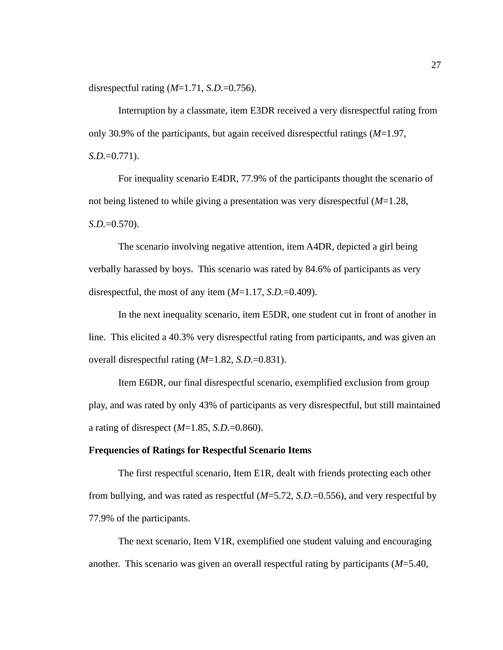disrespectful rating (*M*=1.71, *S.D.*=0.756).

Interruption by a classmate, item E3DR received a very disrespectful rating from only 30.9% of the participants, but again received disrespectful ratings (*M*=1.97, *S.D.*=0.771).

For inequality scenario E4DR, 77.9% of the participants thought the scenario of not being listened to while giving a presentation was very disrespectful (*M*=1.28, *S.D.*=0.570).

The scenario involving negative attention, item A4DR, depicted a girl being verbally harassed by boys. This scenario was rated by 84.6% of participants as very disrespectful, the most of any item (*M*=1.17, *S.D.*=0.409).

In the next inequality scenario, item E5DR, one student cut in front of another in line. This elicited a 40.3% very disrespectful rating from participants, and was given an overall disrespectful rating (*M*=1.82, *S.D.*=0.831).

Item E6DR, our final disrespectful scenario, exemplified exclusion from group play, and was rated by only 43% of participants as very disrespectful, but still maintained a rating of disrespect (*M*=1.85, *S.D.*=0.860).

#### **Frequencies of Ratings for Respectful Scenario Items**

The first respectful scenario, Item E1R, dealt with friends protecting each other from bullying, and was rated as respectful (*M*=5.72, *S.D.*=0.556), and very respectful by 77.9% of the participants.

The next scenario, Item V1R, exemplified one student valuing and encouraging another. This scenario was given an overall respectful rating by participants (*M*=5.40,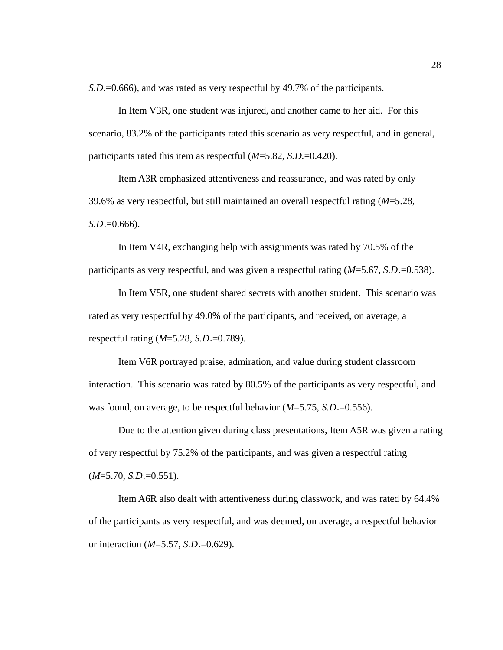*S.D.*=0.666), and was rated as very respectful by 49.7% of the participants.

In Item V3R, one student was injured, and another came to her aid. For this scenario, 83.2% of the participants rated this scenario as very respectful, and in general, participants rated this item as respectful (*M*=5.82, *S.D.*=0.420).

Item A3R emphasized attentiveness and reassurance, and was rated by only 39.6% as very respectful, but still maintained an overall respectful rating (*M*=5.28, *S.D*.=0.666).

In Item V4R, exchanging help with assignments was rated by 70.5% of the participants as very respectful, and was given a respectful rating (*M*=5.67, *S.D*.=0.538).

In Item V5R, one student shared secrets with another student. This scenario was rated as very respectful by 49.0% of the participants, and received, on average, a respectful rating (*M*=5.28, *S.D*.=0.789).

Item V6R portrayed praise, admiration, and value during student classroom interaction. This scenario was rated by 80.5% of the participants as very respectful, and was found, on average, to be respectful behavior (*M*=5.75, *S.D*.=0.556).

Due to the attention given during class presentations, Item A5R was given a rating of very respectful by 75.2% of the participants, and was given a respectful rating (*M*=5.70, *S.D*.=0.551).

Item A6R also dealt with attentiveness during classwork, and was rated by 64.4% of the participants as very respectful, and was deemed, on average, a respectful behavior or interaction (*M*=5.57, *S.D*.=0.629).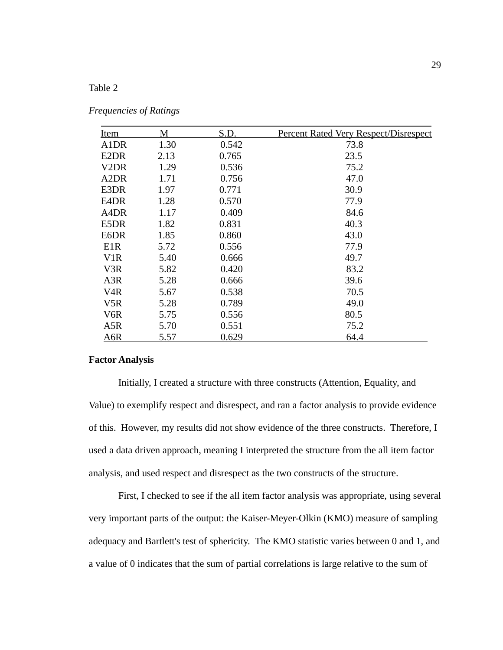# Table 2

| <u>Item</u>      | M    | S.D.  | <b>Percent Rated Very Respect/Disrespect</b> |
|------------------|------|-------|----------------------------------------------|
| A1DR             | 1.30 | 0.542 | 73.8                                         |
| E2DR             | 2.13 | 0.765 | 23.5                                         |
| V2DR             | 1.29 | 0.536 | 75.2                                         |
| A2DR             | 1.71 | 0.756 | 47.0                                         |
| E3DR             | 1.97 | 0.771 | 30.9                                         |
| E4DR             | 1.28 | 0.570 | 77.9                                         |
| A4DR             | 1.17 | 0.409 | 84.6                                         |
| E5DR             | 1.82 | 0.831 | 40.3                                         |
| E6DR             | 1.85 | 0.860 | 43.0                                         |
| E <sub>1</sub> R | 5.72 | 0.556 | 77.9                                         |
| V1R              | 5.40 | 0.666 | 49.7                                         |
| V3R              | 5.82 | 0.420 | 83.2                                         |
| A3R              | 5.28 | 0.666 | 39.6                                         |
| V <sub>4</sub> R | 5.67 | 0.538 | 70.5                                         |
| V5R              | 5.28 | 0.789 | 49.0                                         |
| V6R              | 5.75 | 0.556 | 80.5                                         |
| A5R              | 5.70 | 0.551 | 75.2                                         |
| A6R              | 5.57 | 0.629 | 64.4                                         |

### **Factor Analysis**

Initially, I created a structure with three constructs (Attention, Equality, and Value) to exemplify respect and disrespect, and ran a factor analysis to provide evidence of this. However, my results did not show evidence of the three constructs. Therefore, I used a data driven approach, meaning I interpreted the structure from the all item factor analysis, and used respect and disrespect as the two constructs of the structure.

First, I checked to see if the all item factor analysis was appropriate, using several very important parts of the output: the Kaiser-Meyer-Olkin (KMO) measure of sampling adequacy and Bartlett's test of sphericity. The KMO statistic varies between 0 and 1, and a value of 0 indicates that the sum of partial correlations is large relative to the sum of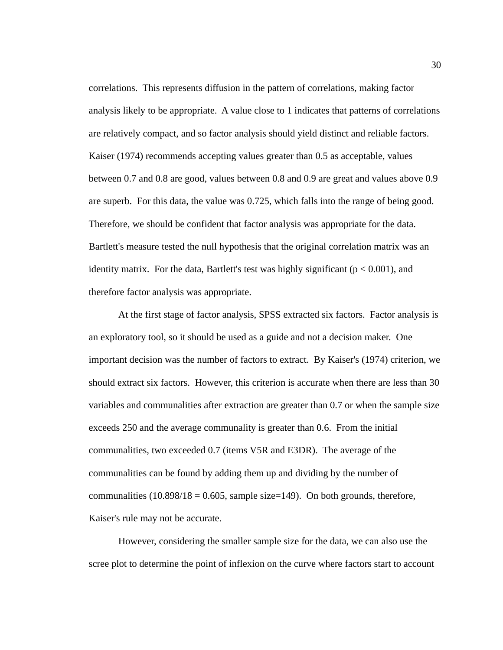correlations. This represents diffusion in the pattern of correlations, making factor analysis likely to be appropriate. A value close to 1 indicates that patterns of correlations are relatively compact, and so factor analysis should yield distinct and reliable factors. Kaiser (1974) recommends accepting values greater than 0.5 as acceptable, values between 0.7 and 0.8 are good, values between 0.8 and 0.9 are great and values above 0.9 are superb. For this data, the value was 0.725, which falls into the range of being good. Therefore, we should be confident that factor analysis was appropriate for the data. Bartlett's measure tested the null hypothesis that the original correlation matrix was an identity matrix. For the data, Bartlett's test was highly significant ( $p < 0.001$ ), and therefore factor analysis was appropriate.

At the first stage of factor analysis, SPSS extracted six factors. Factor analysis is an exploratory tool, so it should be used as a guide and not a decision maker. One important decision was the number of factors to extract. By Kaiser's (1974) criterion, we should extract six factors. However, this criterion is accurate when there are less than 30 variables and communalities after extraction are greater than 0.7 or when the sample size exceeds 250 and the average communality is greater than 0.6. From the initial communalities, two exceeded 0.7 (items V5R and E3DR). The average of the communalities can be found by adding them up and dividing by the number of communalities  $(10.898/18 = 0.605,$  sample size=149). On both grounds, therefore, Kaiser's rule may not be accurate.

However, considering the smaller sample size for the data, we can also use the scree plot to determine the point of inflexion on the curve where factors start to account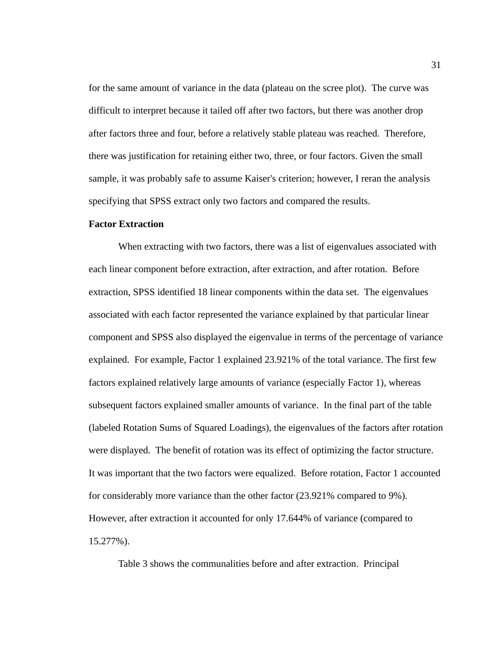for the same amount of variance in the data (plateau on the scree plot). The curve was difficult to interpret because it tailed off after two factors, but there was another drop after factors three and four, before a relatively stable plateau was reached. Therefore, there was justification for retaining either two, three, or four factors. Given the small sample, it was probably safe to assume Kaiser's criterion; however, I reran the analysis specifying that SPSS extract only two factors and compared the results.

#### **Factor Extraction**

When extracting with two factors, there was a list of eigenvalues associated with each linear component before extraction, after extraction, and after rotation. Before extraction, SPSS identified 18 linear components within the data set. The eigenvalues associated with each factor represented the variance explained by that particular linear component and SPSS also displayed the eigenvalue in terms of the percentage of variance explained. For example, Factor 1 explained 23.921% of the total variance. The first few factors explained relatively large amounts of variance (especially Factor 1), whereas subsequent factors explained smaller amounts of variance. In the final part of the table (labeled Rotation Sums of Squared Loadings), the eigenvalues of the factors after rotation were displayed. The benefit of rotation was its effect of optimizing the factor structure. It was important that the two factors were equalized. Before rotation, Factor 1 accounted for considerably more variance than the other factor (23.921% compared to 9%). However, after extraction it accounted for only 17.644% of variance (compared to 15.277%).

Table 3 shows the communalities before and after extraction. Principal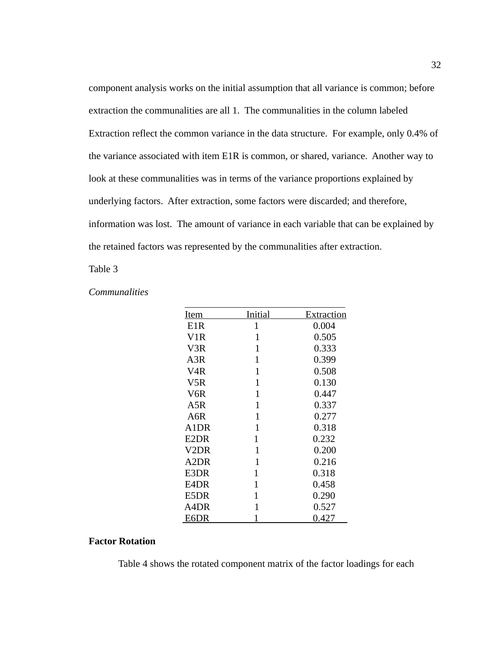component analysis works on the initial assumption that all variance is common; before extraction the communalities are all 1. The communalities in the column labeled Extraction reflect the common variance in the data structure. For example, only 0.4% of the variance associated with item E1R is common, or shared, variance. Another way to look at these communalities was in terms of the variance proportions explained by underlying factors. After extraction, some factors were discarded; and therefore, information was lost. The amount of variance in each variable that can be explained by the retained factors was represented by the communalities after extraction.

#### Table 3

### *Communalities*

| <b>Item</b>       | <b>Initial</b> | <u>Extraction</u> |
|-------------------|----------------|-------------------|
| E <sub>1</sub> R  | $\mathbf 1$    | 0.004             |
| V <sub>1</sub> R  | $\overline{1}$ | 0.505             |
| V <sub>3</sub> R  | $\overline{1}$ | 0.333             |
| A <sub>3</sub> R  | $\overline{1}$ | 0.399             |
| V <sub>4</sub> R  | $\overline{1}$ | 0.508             |
| V <sub>5</sub> R  | $\overline{1}$ | 0.130             |
| V <sub>6</sub> R  | 1              | 0.447             |
| A5R               | $\overline{1}$ | 0.337             |
| A6R               | 1              | 0.277             |
| A1DR              | $\overline{1}$ | 0.318             |
| E <sub>2</sub> DR | $\overline{1}$ | 0.232             |
| V2DR              | 1              | 0.200             |
| A <sub>2</sub> DR | $\mathbf{1}$   | 0.216             |
| E3DR              | 1              | 0.318             |
| E4DR              | $\overline{1}$ | 0.458             |
| E5DR              | $\overline{1}$ | 0.290             |
| A4DR              | $\overline{1}$ | 0.527             |
| E6DR              | 1              | 0.427             |

# **Factor Rotation**

Table 4 shows the rotated component matrix of the factor loadings for each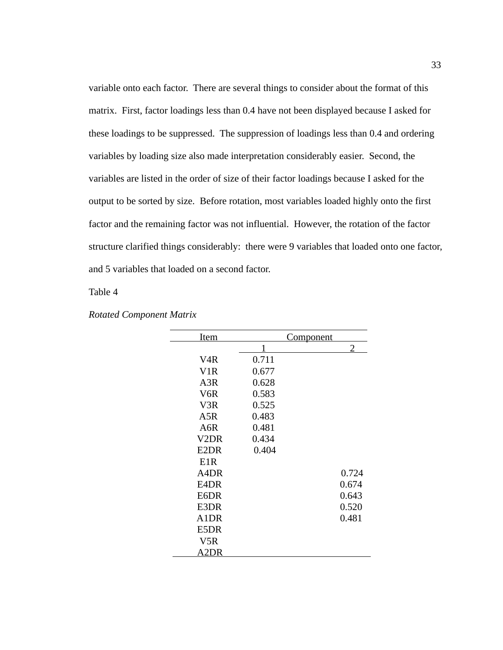variable onto each factor. There are several things to consider about the format of this matrix. First, factor loadings less than 0.4 have not been displayed because I asked for these loadings to be suppressed. The suppression of loadings less than 0.4 and ordering variables by loading size also made interpretation considerably easier. Second, the variables are listed in the order of size of their factor loadings because I asked for the output to be sorted by size. Before rotation, most variables loaded highly onto the first factor and the remaining factor was not influential. However, the rotation of the factor structure clarified things considerably: there were 9 variables that loaded onto one factor, and 5 variables that loaded on a second factor.

Table 4

| <b>Item</b>       |       | <u>Component</u> |
|-------------------|-------|------------------|
|                   | 1     | 2                |
| V <sub>4</sub> R  | 0.711 |                  |
| V <sub>1</sub> R  | 0.677 |                  |
| A <sub>3</sub> R  | 0.628 |                  |
| V <sub>6</sub> R  | 0.583 |                  |
| V <sub>3</sub> R  | 0.525 |                  |
| A5R               | 0.483 |                  |
| A <sub>6</sub> R  | 0.481 |                  |
| V <sub>2</sub> DR | 0.434 |                  |
| E2DR              | 0.404 |                  |
| E <sub>1</sub> R  |       |                  |
| A4DR              |       | 0.724            |
| E4DR              |       | 0.674            |
| E6DR              |       | 0.643            |
| E3DR              |       | 0.520            |
| A1DR              |       | 0.481            |
| E5DR              |       |                  |
| V5R               |       |                  |
| A2DR              |       |                  |

*Rotated Component Matrix*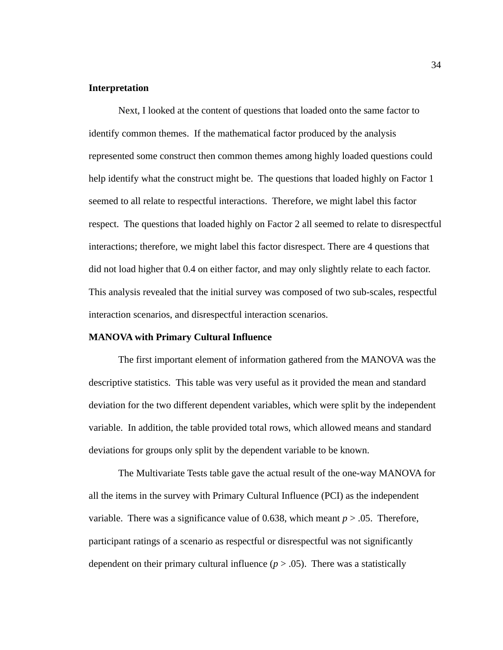## **Interpretation**

Next, I looked at the content of questions that loaded onto the same factor to identify common themes. If the mathematical factor produced by the analysis represented some construct then common themes among highly loaded questions could help identify what the construct might be. The questions that loaded highly on Factor 1 seemed to all relate to respectful interactions. Therefore, we might label this factor respect. The questions that loaded highly on Factor 2 all seemed to relate to disrespectful interactions; therefore, we might label this factor disrespect. There are 4 questions that did not load higher that 0.4 on either factor, and may only slightly relate to each factor. This analysis revealed that the initial survey was composed of two sub-scales, respectful interaction scenarios, and disrespectful interaction scenarios.

#### **MANOVA with Primary Cultural Influence**

The first important element of information gathered from the MANOVA was the descriptive statistics. This table was very useful as it provided the mean and standard deviation for the two different dependent variables, which were split by the independent variable. In addition, the table provided total rows, which allowed means and standard deviations for groups only split by the dependent variable to be known.

The Multivariate Tests table gave the actual result of the one-way MANOVA for all the items in the survey with Primary Cultural Influence (PCI) as the independent variable. There was a significance value of 0.638, which meant *p* > .05. Therefore, participant ratings of a scenario as respectful or disrespectful was not significantly dependent on their primary cultural influence  $(p > .05)$ . There was a statistically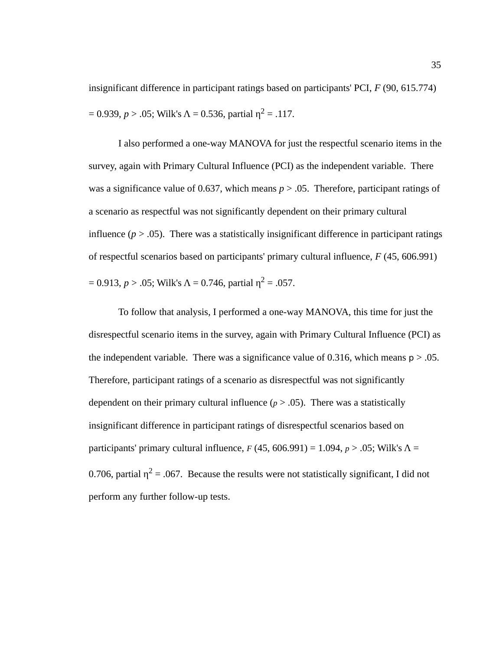insignificant difference in participant ratings based on participants' PCI, *F* (90, 615.774) = 0.939, *p* > .05; Wilk's Λ = 0.536, partial  $η<sup>2</sup> = .117$ .

I also performed a one-way MANOVA for just the respectful scenario items in the survey, again with Primary Cultural Influence (PCI) as the independent variable. There was a significance value of 0.637, which means *p* > .05. Therefore, participant ratings of a scenario as respectful was not significantly dependent on their primary cultural influence ( $p > .05$ ). There was a statistically insignificant difference in participant ratings of respectful scenarios based on participants' primary cultural influence, *F* (45, 606.991) = 0.913, *p* > .05; Wilk's Λ = 0.746, partial  $η<sup>2</sup> = .057$ .

To follow that analysis, I performed a one-way MANOVA, this time for just the disrespectful scenario items in the survey, again with Primary Cultural Influence (PCI) as the independent variable. There was a significance value of 0.316, which means  $p > 0.05$ . Therefore, participant ratings of a scenario as disrespectful was not significantly dependent on their primary cultural influence  $(p > .05)$ . There was a statistically insignificant difference in participant ratings of disrespectful scenarios based on participants' primary cultural influence,  $F(45, 606.991) = 1.094$ ,  $p > .05$ ; Wilk's  $\Lambda =$ 0.706, partial  $\eta^2$  = .067. Because the results were not statistically significant, I did not perform any further follow-up tests.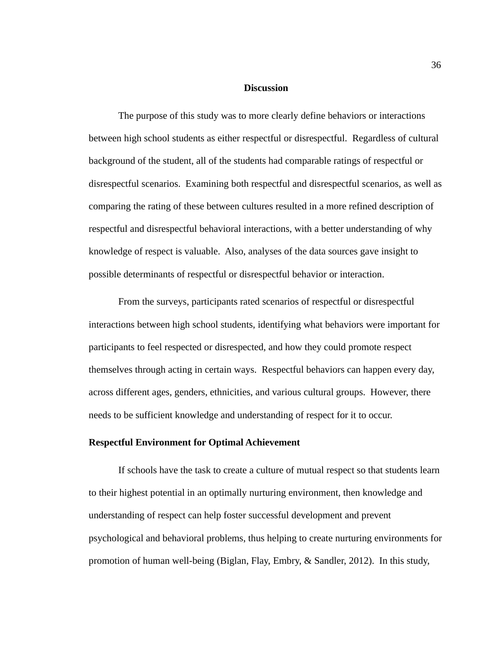#### **Discussion**

The purpose of this study was to more clearly define behaviors or interactions between high school students as either respectful or disrespectful. Regardless of cultural background of the student, all of the students had comparable ratings of respectful or disrespectful scenarios. Examining both respectful and disrespectful scenarios, as well as comparing the rating of these between cultures resulted in a more refined description of respectful and disrespectful behavioral interactions, with a better understanding of why knowledge of respect is valuable. Also, analyses of the data sources gave insight to possible determinants of respectful or disrespectful behavior or interaction.

From the surveys, participants rated scenarios of respectful or disrespectful interactions between high school students, identifying what behaviors were important for participants to feel respected or disrespected, and how they could promote respect themselves through acting in certain ways. Respectful behaviors can happen every day, across different ages, genders, ethnicities, and various cultural groups. However, there needs to be sufficient knowledge and understanding of respect for it to occur.

### **Respectful Environment for Optimal Achievement**

If schools have the task to create a culture of mutual respect so that students learn to their highest potential in an optimally nurturing environment, then knowledge and understanding of respect can help foster successful development and prevent psychological and behavioral problems, thus helping to create nurturing environments for promotion of human well-being (Biglan, Flay, Embry, & Sandler, 2012). In this study,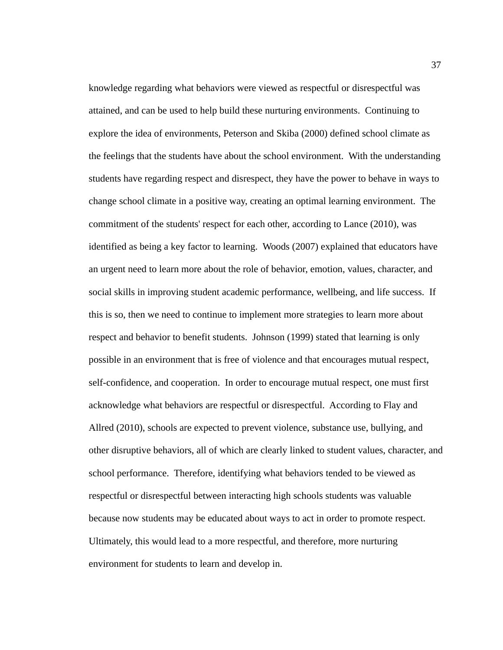knowledge regarding what behaviors were viewed as respectful or disrespectful was attained, and can be used to help build these nurturing environments. Continuing to explore the idea of environments, Peterson and Skiba (2000) defined school climate as the feelings that the students have about the school environment. With the understanding students have regarding respect and disrespect, they have the power to behave in ways to change school climate in a positive way, creating an optimal learning environment. The commitment of the students' respect for each other, according to Lance (2010), was identified as being a key factor to learning. Woods (2007) explained that educators have an urgent need to learn more about the role of behavior, emotion, values, character, and social skills in improving student academic performance, wellbeing, and life success. If this is so, then we need to continue to implement more strategies to learn more about respect and behavior to benefit students. Johnson (1999) stated that learning is only possible in an environment that is free of violence and that encourages mutual respect, self-confidence, and cooperation. In order to encourage mutual respect, one must first acknowledge what behaviors are respectful or disrespectful. According to Flay and Allred (2010), schools are expected to prevent violence, substance use, bullying, and other disruptive behaviors, all of which are clearly linked to student values, character, and school performance. Therefore, identifying what behaviors tended to be viewed as respectful or disrespectful between interacting high schools students was valuable because now students may be educated about ways to act in order to promote respect. Ultimately, this would lead to a more respectful, and therefore, more nurturing environment for students to learn and develop in.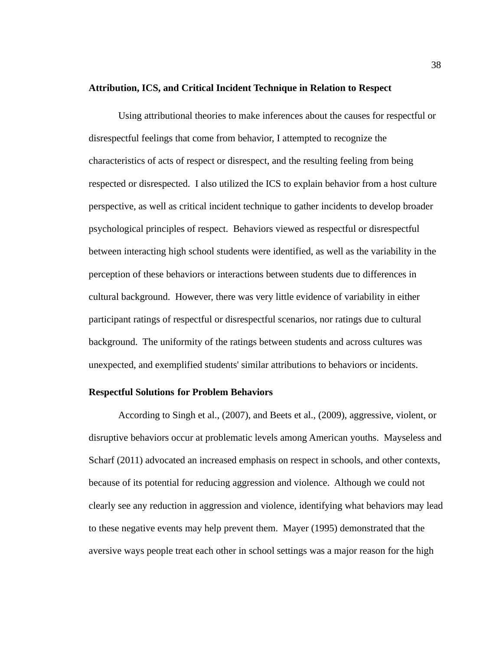#### **Attribution, ICS, and Critical Incident Technique in Relation to Respect**

Using attributional theories to make inferences about the causes for respectful or disrespectful feelings that come from behavior, I attempted to recognize the characteristics of acts of respect or disrespect, and the resulting feeling from being respected or disrespected. I also utilized the ICS to explain behavior from a host culture perspective, as well as critical incident technique to gather incidents to develop broader psychological principles of respect. Behaviors viewed as respectful or disrespectful between interacting high school students were identified, as well as the variability in the perception of these behaviors or interactions between students due to differences in cultural background. However, there was very little evidence of variability in either participant ratings of respectful or disrespectful scenarios, nor ratings due to cultural background. The uniformity of the ratings between students and across cultures was unexpected, and exemplified students' similar attributions to behaviors or incidents.

### **Respectful Solutions for Problem Behaviors**

According to Singh et al., (2007), and Beets et al., (2009), aggressive, violent, or disruptive behaviors occur at problematic levels among American youths. Mayseless and Scharf (2011) advocated an increased emphasis on respect in schools, and other contexts, because of its potential for reducing aggression and violence. Although we could not clearly see any reduction in aggression and violence, identifying what behaviors may lead to these negative events may help prevent them. Mayer (1995) demonstrated that the aversive ways people treat each other in school settings was a major reason for the high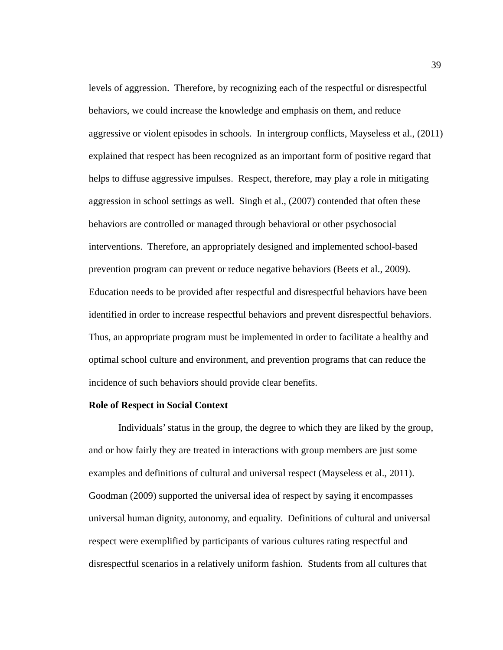levels of aggression. Therefore, by recognizing each of the respectful or disrespectful behaviors, we could increase the knowledge and emphasis on them, and reduce aggressive or violent episodes in schools. In intergroup conflicts, Mayseless et al., (2011) explained that respect has been recognized as an important form of positive regard that helps to diffuse aggressive impulses. Respect, therefore, may play a role in mitigating aggression in school settings as well. Singh et al., (2007) contended that often these behaviors are controlled or managed through behavioral or other psychosocial interventions. Therefore, an appropriately designed and implemented school-based prevention program can prevent or reduce negative behaviors (Beets et al., 2009). Education needs to be provided after respectful and disrespectful behaviors have been identified in order to increase respectful behaviors and prevent disrespectful behaviors. Thus, an appropriate program must be implemented in order to facilitate a healthy and optimal school culture and environment, and prevention programs that can reduce the incidence of such behaviors should provide clear benefits.

#### **Role of Respect in Social Context**

Individuals' status in the group, the degree to which they are liked by the group, and or how fairly they are treated in interactions with group members are just some examples and definitions of cultural and universal respect (Mayseless et al., 2011). Goodman (2009) supported the universal idea of respect by saying it encompasses universal human dignity, autonomy, and equality. Definitions of cultural and universal respect were exemplified by participants of various cultures rating respectful and disrespectful scenarios in a relatively uniform fashion. Students from all cultures that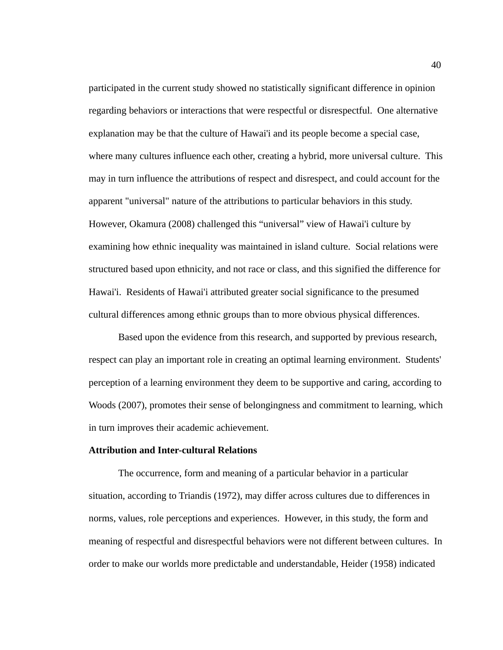participated in the current study showed no statistically significant difference in opinion regarding behaviors or interactions that were respectful or disrespectful. One alternative explanation may be that the culture of Hawai'i and its people become a special case, where many cultures influence each other, creating a hybrid, more universal culture. This may in turn influence the attributions of respect and disrespect, and could account for the apparent "universal" nature of the attributions to particular behaviors in this study. However, Okamura (2008) challenged this "universal" view of Hawai'i culture by examining how ethnic inequality was maintained in island culture. Social relations were structured based upon ethnicity, and not race or class, and this signified the difference for Hawai'i. Residents of Hawai'i attributed greater social significance to the presumed cultural differences among ethnic groups than to more obvious physical differences.

Based upon the evidence from this research, and supported by previous research, respect can play an important role in creating an optimal learning environment. Students' perception of a learning environment they deem to be supportive and caring, according to Woods (2007), promotes their sense of belongingness and commitment to learning, which in turn improves their academic achievement.

#### **Attribution and Inter-cultural Relations**

The occurrence, form and meaning of a particular behavior in a particular situation, according to Triandis (1972), may differ across cultures due to differences in norms, values, role perceptions and experiences. However, in this study, the form and meaning of respectful and disrespectful behaviors were not different between cultures. In order to make our worlds more predictable and understandable, Heider (1958) indicated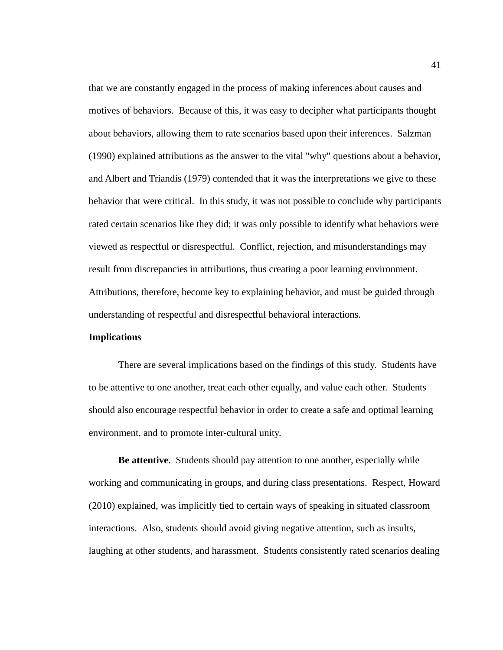that we are constantly engaged in the process of making inferences about causes and motives of behaviors. Because of this, it was easy to decipher what participants thought about behaviors, allowing them to rate scenarios based upon their inferences. Salzman (1990) explained attributions as the answer to the vital "why" questions about a behavior, and Albert and Triandis (1979) contended that it was the interpretations we give to these behavior that were critical. In this study, it was not possible to conclude why participants rated certain scenarios like they did; it was only possible to identify what behaviors were viewed as respectful or disrespectful. Conflict, rejection, and misunderstandings may result from discrepancies in attributions, thus creating a poor learning environment. Attributions, therefore, become key to explaining behavior, and must be guided through understanding of respectful and disrespectful behavioral interactions.

#### **Implications**

There are several implications based on the findings of this study. Students have to be attentive to one another, treat each other equally, and value each other. Students should also encourage respectful behavior in order to create a safe and optimal learning environment, and to promote inter-cultural unity.

**Be attentive.** Students should pay attention to one another, especially while working and communicating in groups, and during class presentations. Respect, Howard (2010) explained, was implicitly tied to certain ways of speaking in situated classroom interactions. Also, students should avoid giving negative attention, such as insults, laughing at other students, and harassment. Students consistently rated scenarios dealing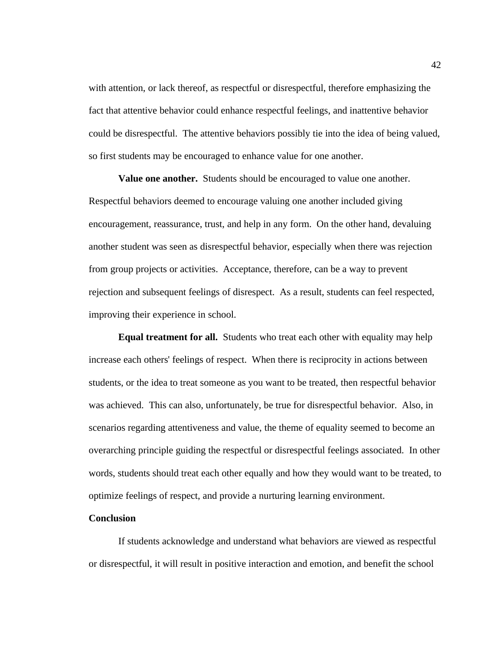with attention, or lack thereof, as respectful or disrespectful, therefore emphasizing the fact that attentive behavior could enhance respectful feelings, and inattentive behavior could be disrespectful. The attentive behaviors possibly tie into the idea of being valued, so first students may be encouraged to enhance value for one another.

**Value one another.** Students should be encouraged to value one another. Respectful behaviors deemed to encourage valuing one another included giving encouragement, reassurance, trust, and help in any form. On the other hand, devaluing another student was seen as disrespectful behavior, especially when there was rejection from group projects or activities. Acceptance, therefore, can be a way to prevent rejection and subsequent feelings of disrespect. As a result, students can feel respected, improving their experience in school.

**Equal treatment for all.** Students who treat each other with equality may help increase each others' feelings of respect. When there is reciprocity in actions between students, or the idea to treat someone as you want to be treated, then respectful behavior was achieved. This can also, unfortunately, be true for disrespectful behavior. Also, in scenarios regarding attentiveness and value, the theme of equality seemed to become an overarching principle guiding the respectful or disrespectful feelings associated. In other words, students should treat each other equally and how they would want to be treated, to optimize feelings of respect, and provide a nurturing learning environment.

#### **Conclusion**

If students acknowledge and understand what behaviors are viewed as respectful or disrespectful, it will result in positive interaction and emotion, and benefit the school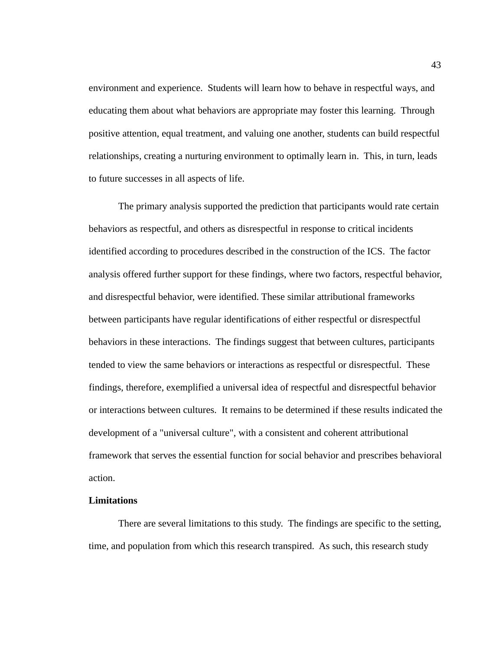environment and experience. Students will learn how to behave in respectful ways, and educating them about what behaviors are appropriate may foster this learning. Through positive attention, equal treatment, and valuing one another, students can build respectful relationships, creating a nurturing environment to optimally learn in. This, in turn, leads to future successes in all aspects of life.

The primary analysis supported the prediction that participants would rate certain behaviors as respectful, and others as disrespectful in response to critical incidents identified according to procedures described in the construction of the ICS. The factor analysis offered further support for these findings, where two factors, respectful behavior, and disrespectful behavior, were identified. These similar attributional frameworks between participants have regular identifications of either respectful or disrespectful behaviors in these interactions. The findings suggest that between cultures, participants tended to view the same behaviors or interactions as respectful or disrespectful. These findings, therefore, exemplified a universal idea of respectful and disrespectful behavior or interactions between cultures. It remains to be determined if these results indicated the development of a "universal culture", with a consistent and coherent attributional framework that serves the essential function for social behavior and prescribes behavioral action.

# **Limitations**

There are several limitations to this study. The findings are specific to the setting, time, and population from which this research transpired. As such, this research study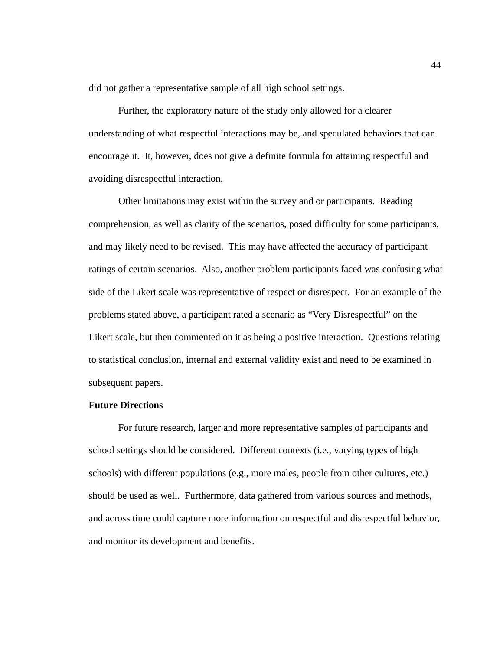did not gather a representative sample of all high school settings.

Further, the exploratory nature of the study only allowed for a clearer understanding of what respectful interactions may be, and speculated behaviors that can encourage it. It, however, does not give a definite formula for attaining respectful and avoiding disrespectful interaction.

Other limitations may exist within the survey and or participants. Reading comprehension, as well as clarity of the scenarios, posed difficulty for some participants, and may likely need to be revised. This may have affected the accuracy of participant ratings of certain scenarios. Also, another problem participants faced was confusing what side of the Likert scale was representative of respect or disrespect. For an example of the problems stated above, a participant rated a scenario as "Very Disrespectful" on the Likert scale, but then commented on it as being a positive interaction. Questions relating to statistical conclusion, internal and external validity exist and need to be examined in subsequent papers.

#### **Future Directions**

For future research, larger and more representative samples of participants and school settings should be considered. Different contexts (i.e., varying types of high schools) with different populations (e.g., more males, people from other cultures, etc.) should be used as well. Furthermore, data gathered from various sources and methods, and across time could capture more information on respectful and disrespectful behavior, and monitor its development and benefits.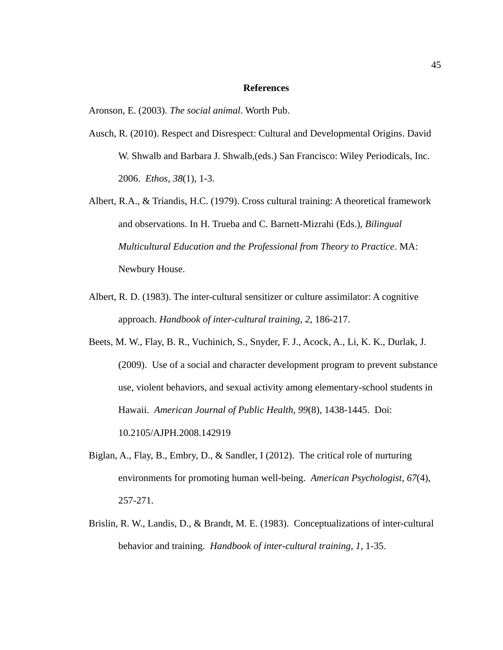#### **References**

Aronson, E. (2003). *The social animal*. Worth Pub.

- Ausch, R. (2010). Respect and Disrespect: Cultural and Developmental Origins. David W. Shwalb and Barbara J. Shwalb,(eds.) San Francisco: Wiley Periodicals, Inc. 2006. *Ethos, 38*(1), 1-3.
- Albert, R.A., & Triandis, H.C. (1979). Cross cultural training: A theoretical framework and observations. In H. Trueba and C. Barnett-Mizrahi (Eds.), *Bilingual Multicultural Education and the Professional from Theory to Practice*. MA: Newbury House.
- Albert, R. D. (1983). The inter-cultural sensitizer or culture assimilator: A cognitive approach. *Handbook of inter-cultural training*, *2*, 186-217.
- Beets, M. W., Flay, B. R., Vuchinich, S., Snyder, F. J., Acock, A., Li, K. K., Durlak, J. (2009). Use of a social and character development program to prevent substance use, violent behaviors, and sexual activity among elementary-school students in Hawaii. *American Journal of Public Health, 99*(8), 1438-1445. Doi: 10.2105/AJPH.2008.142919
- Biglan, A., Flay, B., Embry, D., & Sandler, I (2012). The critical role of nurturing environments for promoting human well-being. *American Psychologist, 67*(4), 257-271.
- Brislin, R. W., Landis, D., & Brandt, M. E. (1983). Conceptualizations of inter-cultural behavior and training. *Handbook of inter-cultural training, 1*, 1-35.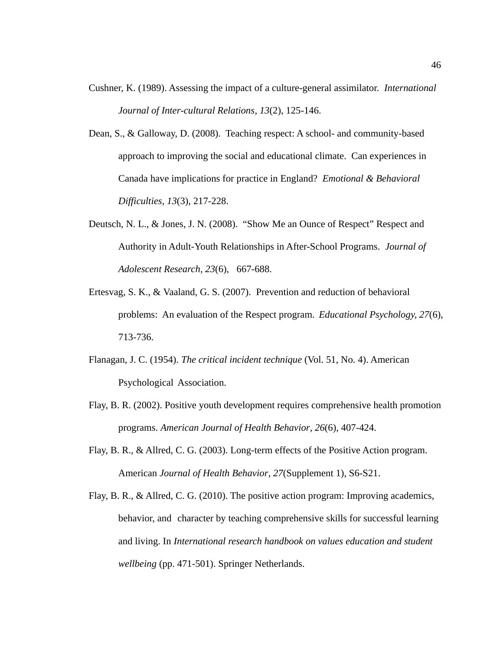- Cushner, K. (1989). Assessing the impact of a culture-general assimilator. *International Journal of Inter-cultural Relations, 13*(2), 125-146.
- Dean, S., & Galloway, D. (2008). Teaching respect: A school- and community-based approach to improving the social and educational climate. Can experiences in Canada have implications for practice in England? *Emotional & Behavioral Difficulties, 13*(3), 217-228.
- Deutsch, N. L., & Jones, J. N. (2008). "Show Me an Ounce of Respect" Respect and Authority in Adult-Youth Relationships in After-School Programs. *Journal of Adolescent Research, 23*(6), 667-688.
- Ertesvag, S. K., & Vaaland, G. S. (2007). Prevention and reduction of behavioral problems: An evaluation of the Respect program. *Educational Psychology, 27*(6), 713-736.
- Flanagan, J. C. (1954). *The critical incident technique* (Vol. 51, No. 4). American Psychological Association.
- Flay, B. R. (2002). Positive youth development requires comprehensive health promotion programs. *American Journal of Health Behavior, 26*(6), 407-424.
- Flay, B. R., & Allred, C. G. (2003). Long-term effects of the Positive Action program. American *Journal of Health Behavior, 27*(Supplement 1), S6-S21.
- Flay, B. R., & Allred, C. G. (2010). The positive action program: Improving academics, behavior, and character by teaching comprehensive skills for successful learning and living. In *International research handbook on values education and student wellbeing* (pp. 471-501). Springer Netherlands.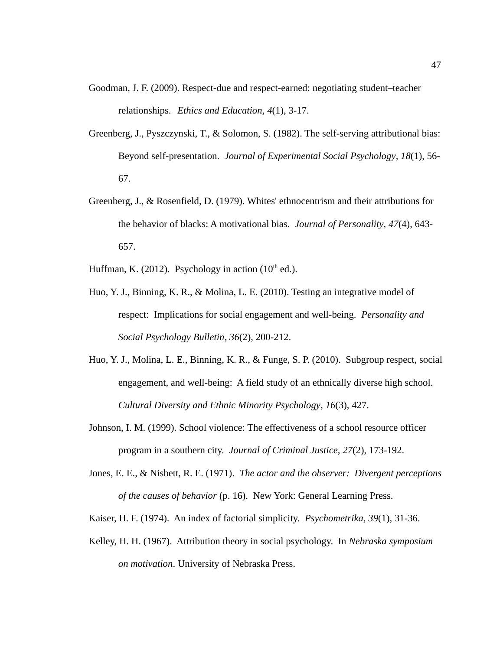- Goodman, J. F. (2009). Respect-due and respect-earned: negotiating student–teacher relationships. *Ethics and Education, 4*(1), 3-17.
- Greenberg, J., Pyszczynski, T., & Solomon, S. (1982). The self-serving attributional bias: Beyond self-presentation. *Journal of Experimental Social Psychology, 18*(1), 56- 67.
- Greenberg, J., & Rosenfield, D. (1979). Whites' ethnocentrism and their attributions for the behavior of blacks: A motivational bias. *Journal of Personality, 47*(4), 643- 657.
- Huffman, K. (2012). Psychology in action  $(10<sup>th</sup>$  ed.).
- Huo, Y. J., Binning, K. R., & Molina, L. E. (2010). Testing an integrative model of respect: Implications for social engagement and well-being. *Personality and Social Psychology Bulletin, 36*(2), 200-212.
- Huo, Y. J., Molina, L. E., Binning, K. R., & Funge, S. P. (2010). Subgroup respect, social engagement, and well-being: A field study of an ethnically diverse high school. *Cultural Diversity and Ethnic Minority Psychology, 16*(3), 427.
- Johnson, I. M. (1999). School violence: The effectiveness of a school resource officer program in a southern city. *Journal of Criminal Justice, 27*(2), 173-192.
- Jones, E. E., & Nisbett, R. E. (1971). *The actor and the observer: Divergent perceptions of the causes of behavior* (p. 16). New York: General Learning Press.
- Kaiser, H. F. (1974). An index of factorial simplicity. *Psychometrika, 39*(1), 31-36.
- Kelley, H. H. (1967). Attribution theory in social psychology. In *Nebraska symposium on motivation*. University of Nebraska Press.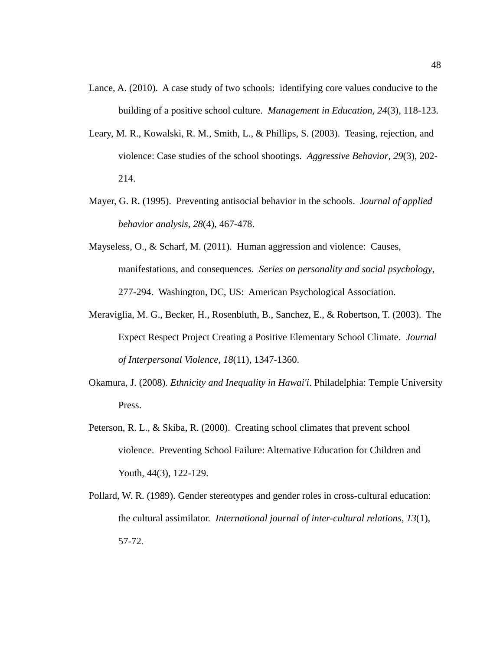- Lance, A. (2010). A case study of two schools: identifying core values conducive to the building of a positive school culture. *Management in Education, 24*(3), 118-123.
- Leary, M. R., Kowalski, R. M., Smith, L., & Phillips, S. (2003). Teasing, rejection, and violence: Case studies of the school shootings. *Aggressive Behavior, 29*(3), 202- 214.
- Mayer, G. R. (1995). Preventing antisocial behavior in the schools. J*ournal of applied behavior analysis, 28*(4), 467-478.
- Mayseless, O., & Scharf, M. (2011). Human aggression and violence: Causes, manifestations, and consequences. *Series on personality and social psychology*, 277-294. Washington, DC, US: American Psychological Association.
- Meraviglia, M. G., Becker, H., Rosenbluth, B., Sanchez, E., & Robertson, T. (2003). The Expect Respect Project Creating a Positive Elementary School Climate. *Journal of Interpersonal Violence, 18*(11), 1347-1360.
- Okamura, J. (2008). *Ethnicity and Inequality in Hawai'i*. Philadelphia: Temple University Press.
- Peterson, R. L., & Skiba, R. (2000). Creating school climates that prevent school violence. Preventing School Failure: Alternative Education for Children and Youth, 44(3), 122-129.
- Pollard, W. R. (1989). Gender stereotypes and gender roles in cross-cultural education: the cultural assimilator. *International journal of inter-cultural relations, 13*(1), 57-72.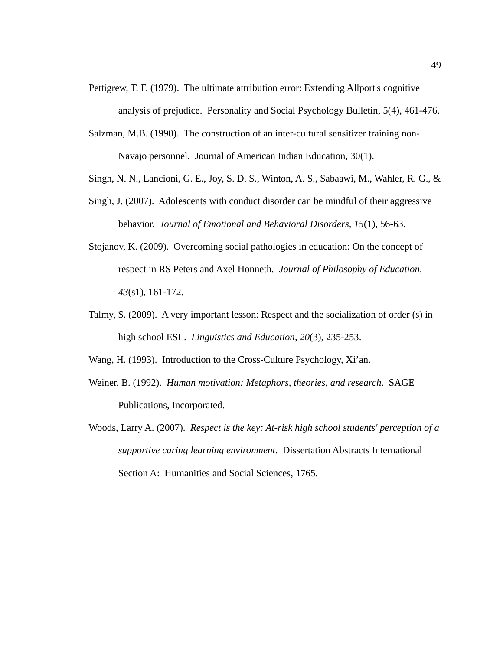- Pettigrew, T. F. (1979). The ultimate attribution error: Extending Allport's cognitive analysis of prejudice. Personality and Social Psychology Bulletin, 5(4), 461-476.
- Salzman, M.B. (1990). The construction of an inter-cultural sensitizer training non-Navajo personnel. Journal of American Indian Education, 30(1).
- Singh, N. N., Lancioni, G. E., Joy, S. D. S., Winton, A. S., Sabaawi, M., Wahler, R. G., &
- Singh, J. (2007). Adolescents with conduct disorder can be mindful of their aggressive behavior. *Journal of Emotional and Behavioral Disorders, 15*(1), 56-63.
- Stojanov, K. (2009). Overcoming social pathologies in education: On the concept of respect in RS Peters and Axel Honneth. *Journal of Philosophy of Education, 43*(s1), 161-172.
- Talmy, S. (2009). A very important lesson: Respect and the socialization of order (s) in high school ESL. *Linguistics and Education, 20*(3), 235-253.

Wang, H. (1993). Introduction to the Cross-Culture Psychology, Xi'an.

- Weiner, B. (1992). *Human motivation: Metaphors, theories, and research*. SAGE Publications, Incorporated.
- Woods, Larry A. (2007). *Respect is the key: At-risk high school students' perception of a supportive caring learning environment*. Dissertation Abstracts International Section A: Humanities and Social Sciences, 1765.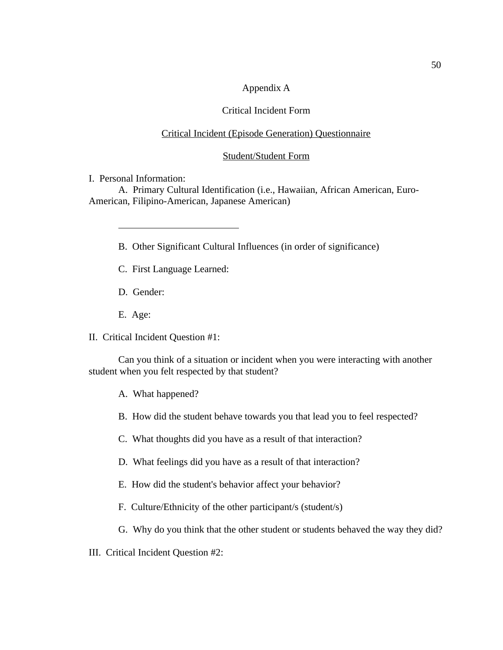# Appendix A

# Critical Incident Form

# Critical Incident (Episode Generation) Questionnaire

### Student/Student Form

I. Personal Information:

 $\overline{a}$ 

A. Primary Cultural Identification (i.e., Hawaiian, African American, Euro-American, Filipino-American, Japanese American)

- B. Other Significant Cultural Influences (in order of significance)
- C. First Language Learned:
- D. Gender:
- E. Age:
- II. Critical Incident Question #1:

Can you think of a situation or incident when you were interacting with another student when you felt respected by that student?

A. What happened?

- B. How did the student behave towards you that lead you to feel respected?
- C. What thoughts did you have as a result of that interaction?
- D. What feelings did you have as a result of that interaction?
- E. How did the student's behavior affect your behavior?
- F. Culture/Ethnicity of the other participant/s (student/s)
- G. Why do you think that the other student or students behaved the way they did?
- III. Critical Incident Question #2: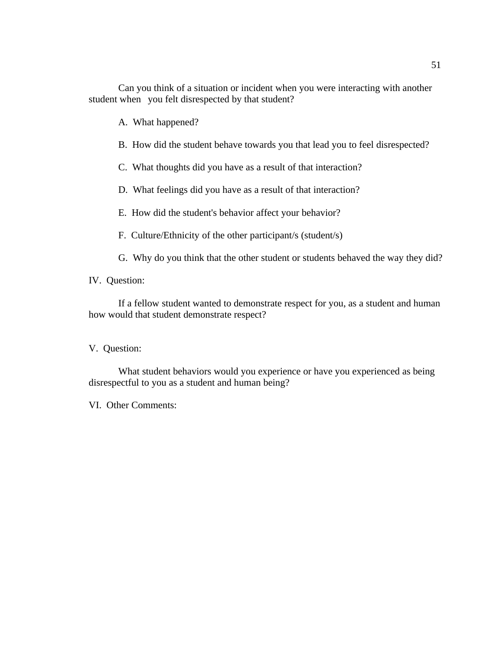A. What happened?

B. How did the student behave towards you that lead you to feel disrespected?

C. What thoughts did you have as a result of that interaction?

D. What feelings did you have as a result of that interaction?

E. How did the student's behavior affect your behavior?

F. Culture/Ethnicity of the other participant/s (student/s)

G. Why do you think that the other student or students behaved the way they did?

IV. Question:

If a fellow student wanted to demonstrate respect for you, as a student and human how would that student demonstrate respect?

V. Question:

What student behaviors would you experience or have you experienced as being disrespectful to you as a student and human being?

VI. Other Comments: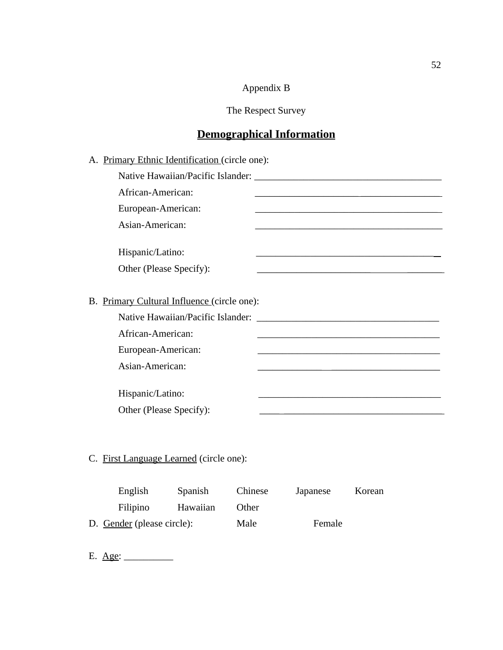# Appendix B

The Respect Survey

# **Demographical Information**

| A. Primary Ethnic Identification (circle one):                                                                                                                        |
|-----------------------------------------------------------------------------------------------------------------------------------------------------------------------|
|                                                                                                                                                                       |
| African-American:                                                                                                                                                     |
| European-American:                                                                                                                                                    |
| Asian-American:                                                                                                                                                       |
| Hispanic/Latino:<br><u> 1989 - Johann John Stein, markin fan it ferskearre fan it ferskearre fan it ferskearre fan it ferskearre fan i</u><br>Other (Please Specify): |
|                                                                                                                                                                       |
| B. Primary Cultural Influence (circle one):                                                                                                                           |
| Native Hawaiian/Pacific Islander: National Science of Australian Control of Australian Control of Australian C                                                        |
| African-American:                                                                                                                                                     |
| European-American:                                                                                                                                                    |
| Asian-American:                                                                                                                                                       |
| Hispanic/Latino:<br>Other (Please Specify):                                                                                                                           |
|                                                                                                                                                                       |
|                                                                                                                                                                       |
| C. First Language Learned (circle one):                                                                                                                               |

| English                    | <b>Spanish</b> | Chinese | Japanese | Korean |
|----------------------------|----------------|---------|----------|--------|
| Filipino                   | Hawaiian       | Other   |          |        |
| D. Gender (please circle): |                | Male    | Female   |        |

E. <u>Age:</u>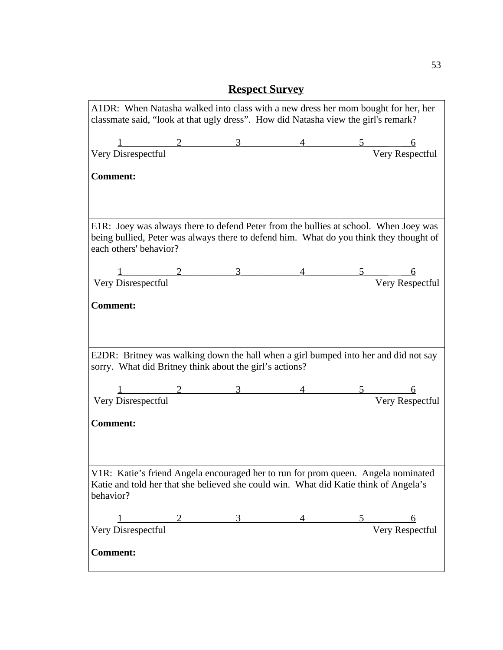| A1DR: When Natasha walked into class with a new dress her mom bought for her, her<br>classmate said, "look at that ugly dress". How did Natasha view the girl's remark?                                  |  |                                                                                                                                                                                                                                                                                                                     |                                                                       |               |                 |
|----------------------------------------------------------------------------------------------------------------------------------------------------------------------------------------------------------|--|---------------------------------------------------------------------------------------------------------------------------------------------------------------------------------------------------------------------------------------------------------------------------------------------------------------------|-----------------------------------------------------------------------|---------------|-----------------|
|                                                                                                                                                                                                          |  |                                                                                                                                                                                                                                                                                                                     |                                                                       |               |                 |
| $\begin{tabular}{c} 1 & 2 & 3 \\ \hline \end{tabular}$ Very Disrespectful                                                                                                                                |  |                                                                                                                                                                                                                                                                                                                     | $\begin{array}{cc}\n4 & 5 & 6 \\ \hline\n\end{array}$ Very Respectful |               |                 |
| <b>Comment:</b>                                                                                                                                                                                          |  |                                                                                                                                                                                                                                                                                                                     |                                                                       |               |                 |
| E1R: Joey was always there to defend Peter from the bullies at school. When Joey was<br>being bullied, Peter was always there to defend him. What do you think they thought of<br>each others' behavior? |  |                                                                                                                                                                                                                                                                                                                     |                                                                       |               |                 |
|                                                                                                                                                                                                          |  | $\frac{1}{2}$ $\frac{2}{3}$ $\frac{4}{2}$ $\frac{5}{2}$ $\frac{2}{2}$ $\frac{3}{2}$ $\frac{4}{2}$ $\frac{5}{2}$ $\frac{2}{2}$ $\frac{2}{2}$ $\frac{3}{2}$ $\frac{4}{2}$ $\frac{5}{2}$ $\frac{2}{2}$ $\frac{2}{2}$ $\frac{2}{2}$ $\frac{4}{2}$ $\frac{5}{2}$ $\frac{2}{2}$ $\frac{2}{2}$ $\frac{4}{2}$ $\frac{5}{2}$ |                                                                       |               |                 |
| Very Disrespectful                                                                                                                                                                                       |  |                                                                                                                                                                                                                                                                                                                     |                                                                       |               | Very Respectful |
| <b>Comment:</b>                                                                                                                                                                                          |  |                                                                                                                                                                                                                                                                                                                     |                                                                       |               |                 |
| E2DR: Britney was walking down the hall when a girl bumped into her and did not say<br>sorry. What did Britney think about the girl's actions?                                                           |  |                                                                                                                                                                                                                                                                                                                     |                                                                       |               |                 |
|                                                                                                                                                                                                          |  |                                                                                                                                                                                                                                                                                                                     |                                                                       | $\frac{5}{2}$ |                 |
| Very Disrespectful                                                                                                                                                                                       |  |                                                                                                                                                                                                                                                                                                                     |                                                                       |               | Very Respectful |
| <b>Comment:</b>                                                                                                                                                                                          |  |                                                                                                                                                                                                                                                                                                                     |                                                                       |               |                 |
| V1R: Katie's friend Angela encouraged her to run for prom queen. Angela nominated<br>Katie and told her that she believed she could win. What did Katie think of Angela's<br>behavior?                   |  |                                                                                                                                                                                                                                                                                                                     |                                                                       |               |                 |
|                                                                                                                                                                                                          |  |                                                                                                                                                                                                                                                                                                                     |                                                                       |               | 6               |
| Very Disrespectful                                                                                                                                                                                       |  |                                                                                                                                                                                                                                                                                                                     |                                                                       |               | Very Respectful |
| <b>Comment:</b>                                                                                                                                                                                          |  |                                                                                                                                                                                                                                                                                                                     |                                                                       |               |                 |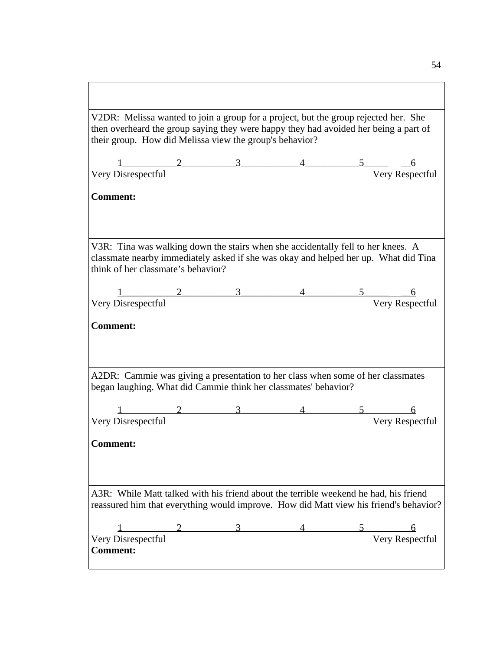| V2DR: Melissa wanted to join a group for a project, but the group rejected her. She<br>then overheard the group saying they were happy they had avoided her being a part of<br>their group. How did Melissa view the group's behavior? |               |                          |  |
|----------------------------------------------------------------------------------------------------------------------------------------------------------------------------------------------------------------------------------------|---------------|--------------------------|--|
|                                                                                                                                                                                                                                        |               |                          |  |
| $\begin{array}{c cccc}\n 1 & 2 & 3 & 4 & 5 & 6 \\  \hline\n \text{Very Disrespectful} & & & \text{Very Respectful} & \\  \end{array}$                                                                                                  |               |                          |  |
| <b>Comment:</b>                                                                                                                                                                                                                        |               |                          |  |
| V3R: Tina was walking down the stairs when she accidentally fell to her knees. A<br>classmate nearby immediately asked if she was okay and helped her up. What did Tina<br>think of her classmate's behavior?                          |               |                          |  |
| $\begin{array}{cccccccc}\n 1 & 2 & 3 & 4 & 5 & 6 \\  \hline\n \text{Very Disrespectful} & & & & \end{array}$                                                                                                                           |               |                          |  |
|                                                                                                                                                                                                                                        |               |                          |  |
| <b>Comment:</b><br>A2DR: Cammie was giving a presentation to her class when some of her classmates                                                                                                                                     |               |                          |  |
| began laughing. What did Cammie think her classmates' behavior?                                                                                                                                                                        |               |                          |  |
|                                                                                                                                                                                                                                        | $\frac{3}{2}$ |                          |  |
| Very Disrespectful                                                                                                                                                                                                                     |               | 4 5 6<br>Very Respectful |  |
| <b>Comment:</b>                                                                                                                                                                                                                        |               |                          |  |
| A3R: While Matt talked with his friend about the terrible weekend he had, his friend<br>reassured him that everything would improve. How did Matt view his friend's behavior?                                                          |               |                          |  |
| $\begin{array}{c cccccc} & 1 & 2 & 3 & 4 & 5 & 6 \\ \hline \text{Very Disrespectful} & & & & \end{array}$                                                                                                                              |               |                          |  |
| <b>Comment:</b>                                                                                                                                                                                                                        |               |                          |  |

 $\sqrt{ }$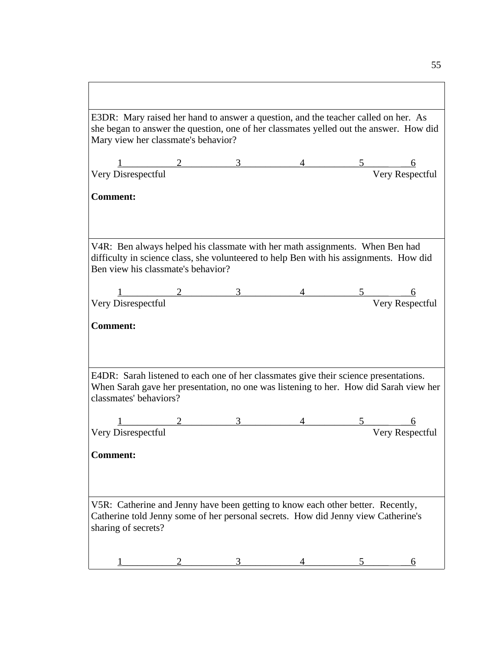| E3DR: Mary raised her hand to answer a question, and the teacher called on her. As                                                      |  |                 |  |                                                                                                                                                                                                                                                                                                 |                 |  |
|-----------------------------------------------------------------------------------------------------------------------------------------|--|-----------------|--|-------------------------------------------------------------------------------------------------------------------------------------------------------------------------------------------------------------------------------------------------------------------------------------------------|-----------------|--|
| she began to answer the question, one of her classmates yelled out the answer. How did                                                  |  |                 |  |                                                                                                                                                                                                                                                                                                 |                 |  |
| Mary view her classmate's behavior?                                                                                                     |  |                 |  |                                                                                                                                                                                                                                                                                                 |                 |  |
|                                                                                                                                         |  |                 |  |                                                                                                                                                                                                                                                                                                 |                 |  |
| $\frac{1}{1}$ 2 3 3                                                                                                                     |  |                 |  | $\begin{array}{cc}\n 4 & \hspace{1.5cm} 5 & \hspace{1.5cm} 6 \\  \hspace{1.5cm} \hspace{1.5cm} \hspace{1.5cm} \hspace{1.5cm} \hspace{1.5cm} \hspace{1.5cm} \hspace{1.5cm} \hspace{1.5cm} \hspace{1.5cm} \hspace{1.5cm} \hspace{1.5cm} \hspace{1.5cm} \hspace{1.5cm} \hspace{1.5cm} \end{array}$ |                 |  |
|                                                                                                                                         |  |                 |  |                                                                                                                                                                                                                                                                                                 |                 |  |
| <b>Comment:</b>                                                                                                                         |  |                 |  |                                                                                                                                                                                                                                                                                                 |                 |  |
|                                                                                                                                         |  |                 |  |                                                                                                                                                                                                                                                                                                 |                 |  |
|                                                                                                                                         |  |                 |  |                                                                                                                                                                                                                                                                                                 |                 |  |
|                                                                                                                                         |  |                 |  |                                                                                                                                                                                                                                                                                                 |                 |  |
| V4R: Ben always helped his classmate with her math assignments. When Ben had                                                            |  |                 |  |                                                                                                                                                                                                                                                                                                 |                 |  |
| difficulty in science class, she volunteered to help Ben with his assignments. How did<br>Ben view his classmate's behavior?            |  |                 |  |                                                                                                                                                                                                                                                                                                 |                 |  |
|                                                                                                                                         |  |                 |  |                                                                                                                                                                                                                                                                                                 |                 |  |
|                                                                                                                                         |  |                 |  |                                                                                                                                                                                                                                                                                                 |                 |  |
| $\frac{1}{\text{Very Disrespectful}}$ $\frac{2}{3}$ $\frac{3}{4}$ $\frac{5}{\text{Very Respectful}}$ $\frac{6}{\text{Very Respectful}}$ |  |                 |  |                                                                                                                                                                                                                                                                                                 |                 |  |
|                                                                                                                                         |  |                 |  |                                                                                                                                                                                                                                                                                                 |                 |  |
| <b>Comment:</b>                                                                                                                         |  |                 |  |                                                                                                                                                                                                                                                                                                 |                 |  |
|                                                                                                                                         |  |                 |  |                                                                                                                                                                                                                                                                                                 |                 |  |
|                                                                                                                                         |  |                 |  |                                                                                                                                                                                                                                                                                                 |                 |  |
| E4DR: Sarah listened to each one of her classmates give their science presentations.                                                    |  |                 |  |                                                                                                                                                                                                                                                                                                 |                 |  |
| When Sarah gave her presentation, no one was listening to her. How did Sarah view her                                                   |  |                 |  |                                                                                                                                                                                                                                                                                                 |                 |  |
| classmates' behaviors?                                                                                                                  |  |                 |  |                                                                                                                                                                                                                                                                                                 |                 |  |
|                                                                                                                                         |  |                 |  |                                                                                                                                                                                                                                                                                                 |                 |  |
|                                                                                                                                         |  | $\frac{2}{3}$ 3 |  | $5 -$                                                                                                                                                                                                                                                                                           |                 |  |
| Very Disrespectful                                                                                                                      |  |                 |  |                                                                                                                                                                                                                                                                                                 | Very Respectful |  |
| <b>Comment:</b>                                                                                                                         |  |                 |  |                                                                                                                                                                                                                                                                                                 |                 |  |
|                                                                                                                                         |  |                 |  |                                                                                                                                                                                                                                                                                                 |                 |  |
|                                                                                                                                         |  |                 |  |                                                                                                                                                                                                                                                                                                 |                 |  |
|                                                                                                                                         |  |                 |  |                                                                                                                                                                                                                                                                                                 |                 |  |
| V5R: Catherine and Jenny have been getting to know each other better. Recently,                                                         |  |                 |  |                                                                                                                                                                                                                                                                                                 |                 |  |
| Catherine told Jenny some of her personal secrets. How did Jenny view Catherine's                                                       |  |                 |  |                                                                                                                                                                                                                                                                                                 |                 |  |
| sharing of secrets?                                                                                                                     |  |                 |  |                                                                                                                                                                                                                                                                                                 |                 |  |
|                                                                                                                                         |  |                 |  |                                                                                                                                                                                                                                                                                                 |                 |  |
|                                                                                                                                         |  | 2 3 3           |  |                                                                                                                                                                                                                                                                                                 | <u>6</u>        |  |
|                                                                                                                                         |  |                 |  |                                                                                                                                                                                                                                                                                                 |                 |  |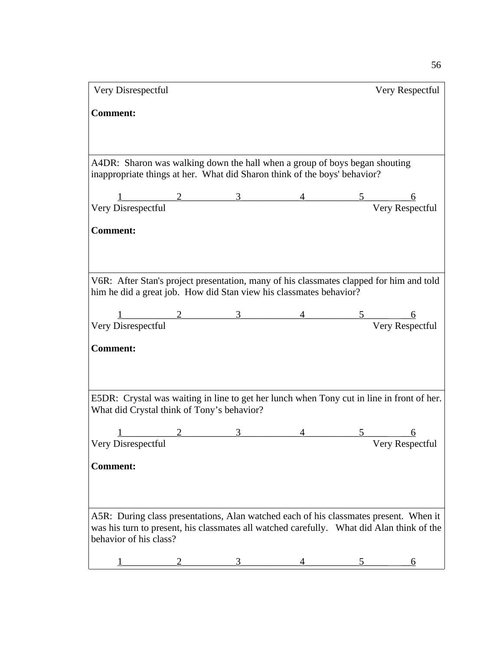| Very Disrespectful                                                                                                                                                                  |  |  |  | Very Respectful |  |  |  |
|-------------------------------------------------------------------------------------------------------------------------------------------------------------------------------------|--|--|--|-----------------|--|--|--|
| <b>Comment:</b>                                                                                                                                                                     |  |  |  |                 |  |  |  |
|                                                                                                                                                                                     |  |  |  |                 |  |  |  |
|                                                                                                                                                                                     |  |  |  |                 |  |  |  |
|                                                                                                                                                                                     |  |  |  |                 |  |  |  |
| A4DR: Sharon was walking down the hall when a group of boys began shouting<br>inappropriate things at her. What did Sharon think of the boys' behavior?                             |  |  |  |                 |  |  |  |
|                                                                                                                                                                                     |  |  |  |                 |  |  |  |
| $\begin{array}{cccccccccc} & 1 & 2 & 3 & 4 & 5 & 6 \\ \hline \text{Very Disrespectful} & & & & & \end{array}$                                                                       |  |  |  |                 |  |  |  |
|                                                                                                                                                                                     |  |  |  |                 |  |  |  |
| <b>Comment:</b>                                                                                                                                                                     |  |  |  |                 |  |  |  |
|                                                                                                                                                                                     |  |  |  |                 |  |  |  |
|                                                                                                                                                                                     |  |  |  |                 |  |  |  |
| V6R: After Stan's project presentation, many of his classmates clapped for him and told<br>him he did a great job. How did Stan view his classmates behavior?                       |  |  |  |                 |  |  |  |
|                                                                                                                                                                                     |  |  |  |                 |  |  |  |
| $\begin{array}{cccccccccc} & 1 & 2 & 3 & 4 & 5 & 6 \\ \hline \text{Very Disrespectful} & & & & & \end{array}$                                                                       |  |  |  |                 |  |  |  |
|                                                                                                                                                                                     |  |  |  |                 |  |  |  |
| <b>Comment:</b>                                                                                                                                                                     |  |  |  |                 |  |  |  |
|                                                                                                                                                                                     |  |  |  |                 |  |  |  |
|                                                                                                                                                                                     |  |  |  |                 |  |  |  |
| E5DR: Crystal was waiting in line to get her lunch when Tony cut in line in front of her.                                                                                           |  |  |  |                 |  |  |  |
| What did Crystal think of Tony's behavior?                                                                                                                                          |  |  |  |                 |  |  |  |
|                                                                                                                                                                                     |  |  |  |                 |  |  |  |
| $\begin{array}{cccccccccc} & 1 & 2 & 3 & 4 & 5 & 6 \\ \hline \text{Very Disrespectful} & & & & & \end{array}$                                                                       |  |  |  |                 |  |  |  |
| <b>Comment:</b>                                                                                                                                                                     |  |  |  |                 |  |  |  |
|                                                                                                                                                                                     |  |  |  |                 |  |  |  |
|                                                                                                                                                                                     |  |  |  |                 |  |  |  |
|                                                                                                                                                                                     |  |  |  |                 |  |  |  |
| A5R: During class presentations, Alan watched each of his classmates present. When it<br>was his turn to present, his classmates all watched carefully.  What did Alan think of the |  |  |  |                 |  |  |  |
| behavior of his class?                                                                                                                                                              |  |  |  |                 |  |  |  |
|                                                                                                                                                                                     |  |  |  |                 |  |  |  |
|                                                                                                                                                                                     |  |  |  |                 |  |  |  |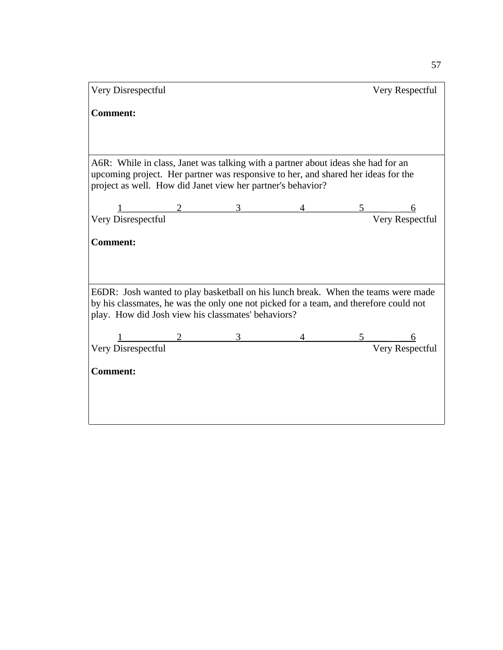| Very Disrespectful                                                                                                                                                         |  |  |               | Very Respectful |  |  |  |  |  |
|----------------------------------------------------------------------------------------------------------------------------------------------------------------------------|--|--|---------------|-----------------|--|--|--|--|--|
| <b>Comment:</b>                                                                                                                                                            |  |  |               |                 |  |  |  |  |  |
|                                                                                                                                                                            |  |  |               |                 |  |  |  |  |  |
| A6R: While in class, Janet was talking with a partner about ideas she had for an                                                                                           |  |  |               |                 |  |  |  |  |  |
| upcoming project. Her partner was responsive to her, and shared her ideas for the<br>project as well. How did Janet view her partner's behavior?                           |  |  |               |                 |  |  |  |  |  |
|                                                                                                                                                                            |  |  |               |                 |  |  |  |  |  |
| $\begin{array}{c cccc}\n 1 & 2 & 3 & 4 & 5 & 6 \\  \hline\n \text{Very Disrespectful} & & & \text{Very Respectful}\n\end{array}$                                           |  |  |               |                 |  |  |  |  |  |
| <b>Comment:</b>                                                                                                                                                            |  |  |               |                 |  |  |  |  |  |
|                                                                                                                                                                            |  |  |               |                 |  |  |  |  |  |
|                                                                                                                                                                            |  |  |               |                 |  |  |  |  |  |
|                                                                                                                                                                            |  |  |               |                 |  |  |  |  |  |
| E6DR: Josh wanted to play basketball on his lunch break. When the teams were made<br>by his classmates, he was the only one not picked for a team, and therefore could not |  |  |               |                 |  |  |  |  |  |
| play. How did Josh view his classmates' behaviors?                                                                                                                         |  |  |               |                 |  |  |  |  |  |
| $\frac{2}{\text{reconertial}}$ 3                                                                                                                                           |  |  | $\frac{5}{2}$ |                 |  |  |  |  |  |
| Very Disrespectful                                                                                                                                                         |  |  |               | Very Respectful |  |  |  |  |  |
| <b>Comment:</b>                                                                                                                                                            |  |  |               |                 |  |  |  |  |  |
|                                                                                                                                                                            |  |  |               |                 |  |  |  |  |  |
|                                                                                                                                                                            |  |  |               |                 |  |  |  |  |  |
|                                                                                                                                                                            |  |  |               |                 |  |  |  |  |  |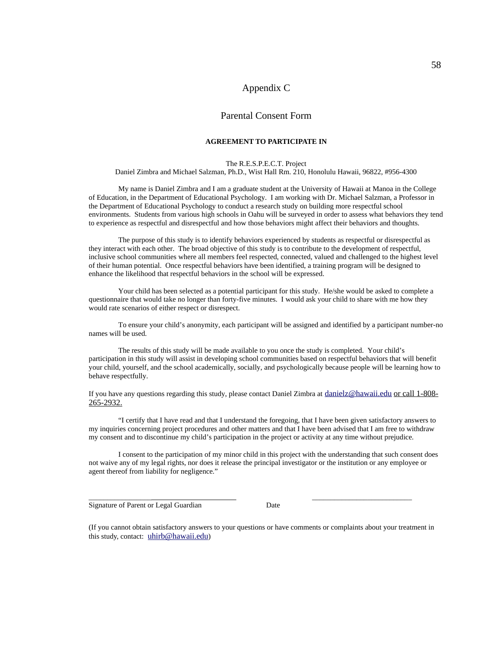# Appendix C

### Parental Consent Form

#### **AGREEMENT TO PARTICIPATE IN**

#### The R.E.S.P.E.C.T. Project

Daniel Zimbra and Michael Salzman, Ph.D., Wist Hall Rm. 210, Honolulu Hawaii, 96822, #956-4300

My name is Daniel Zimbra and I am a graduate student at the University of Hawaii at Manoa in the College of Education, in the Department of Educational Psychology. I am working with Dr. Michael Salzman, a Professor in the Department of Educational Psychology to conduct a research study on building more respectful school environments. Students from various high schools in Oahu will be surveyed in order to assess what behaviors they tend to experience as respectful and disrespectful and how those behaviors might affect their behaviors and thoughts.

The purpose of this study is to identify behaviors experienced by students as respectful or disrespectful as they interact with each other. The broad objective of this study is to contribute to the development of respectful, inclusive school communities where all members feel respected, connected, valued and challenged to the highest level of their human potential. Once respectful behaviors have been identified, a training program will be designed to enhance the likelihood that respectful behaviors in the school will be expressed.

Your child has been selected as a potential participant for this study. He/she would be asked to complete a questionnaire that would take no longer than forty-five minutes. I would ask your child to share with me how they would rate scenarios of either respect or disrespect.

To ensure your child's anonymity, each participant will be assigned and identified by a participant number-no names will be used.

The results of this study will be made available to you once the study is completed. Your child's participation in this study will assist in developing school communities based on respectful behaviors that will benefit your child, yourself, and the school academically, socially, and psychologically because people will be learning how to behave respectfully.

If you have any questions regarding this study, please contact Daniel Zimbra at [danielz@hawaii.edu](mailto:danielz@hawaii.edu) or call 1-808- 265-2932.

"I certify that I have read and that I understand the foregoing, that I have been given satisfactory answers to my inquiries concerning project procedures and other matters and that I have been advised that I am free to withdraw my consent and to discontinue my child's participation in the project or activity at any time without prejudice.

I consent to the participation of my minor child in this project with the understanding that such consent does not waive any of my legal rights, nor does it release the principal investigator or the institution or any employee or agent thereof from liability for negligence."

Signature of Parent or Legal Guardian Date

(If you cannot obtain satisfactory answers to your questions or have comments or complaints about your treatment in this study, contact: [uhirb@hawaii.edu](mailto:uhirb@hawaii.edu))

\_\_\_\_\_\_\_\_\_\_\_\_\_\_\_\_\_ \_\_\_\_\_\_\_\_\_\_\_\_\_\_\_\_\_\_\_\_\_\_\_\_\_\_\_